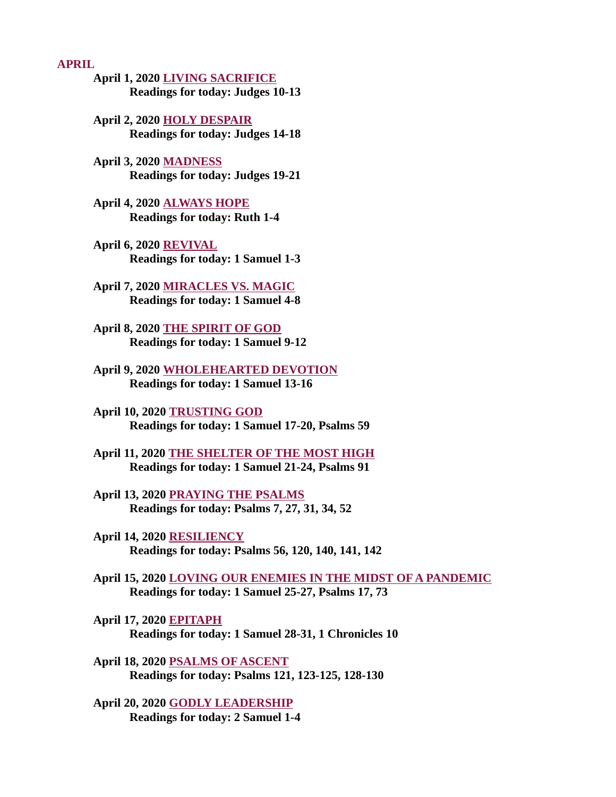#### APRIL

- [April 1, 2020 LIVING SACRIFICE](#page-2-0) Readings for today: Judges 10-13
- April 2, 2020 HOLY DESPAIR [Readings for today: Judges 14-18](#page-4-0)
- April 3, 2020 MADNESS [Readings for today: Judges 19-21](#page-6-0)
- [April 4, 2020 ALWAYS HOPE](#page-8-0) Readings for today: Ruth 1-4
- April 6, 2020 REVIVAL [Readings for today: 1 Samuel 1-3](#page-9-0)
- [April 7, 2020 MIRACLES VS. MAGIC](#page-11-0) Readings for today: 1 Samuel 4-8
- [April 8, 2020 THE SPIRIT OF GOD](#page-13-0) Readings for today: 1 Samuel 9-12
- [April 9, 2020 WHOLEHEARTED DEVOTION](#page-15-0) Readings for today: 1 Samuel 13-16
- April 10, 2020 TRUSTING GOD [Readings for today: 1 Samuel 17-20, Psalms 59](#page-17-0)
- [April 11, 2020 THE SHELTER OF THE MOST HIGH](#page-19-0) Readings for today: 1 Samuel 21-24, Psalms 91
- April 13, 2020 PRAYING THE PSALMS [Readings for today: Psalms 7, 27, 31, 34, 52](#page-21-0)
- April 14, 2020 RESILIENCY [Readings for today: Psalms 56, 120, 140, 141, 142](#page-23-0)
- [April 15, 2020 LOVING OUR ENEMIES IN THE MIDST OF A PANDEMIC](#page-25-0) Readings for today: 1 Samuel 25-27, Psalms 17, 73
- April 17, 2020 EPITAPH [Readings for today: 1 Samuel 28-31, 1 Chronicles 10](#page-27-0)
- April 18, 2020 PSALMS OF ASCENT [Readings for today: Psalms 121, 123-125, 128-130](#page-28-0)
- [April 20, 2020 GODLY LEADERSHIP](#page-30-0) Readings for today: 2 Samuel 1-4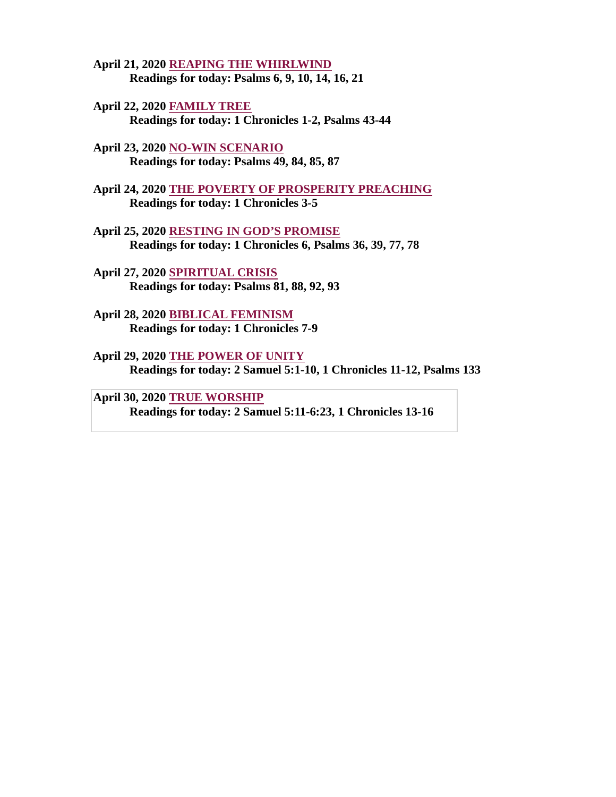- [April 21, 2020 REAPING THE WHIRLWIND](#page-31-0) Readings for today: Psalms 6, 9, 10, 14, 16, 21
- April 22, 2020 FAMILY TREE [Readings for today: 1 Chronicles 1-2, Psalms 43-44](#page-33-0)
- April 23, 2020 NO-WIN SCENARIO [Readings for today: Psalms 49, 84, 85, 87](#page-34-0)
- [April 24, 2020 THE POVERTY OF PROSPERITY PREACHING](#page-36-0) Readings for today: 1 Chronicles 3-5
- April 25, 2020 RESTING IN GOD'S PROMISE [Readings for today: 1 Chronicles 6, Psalms 36, 39, 77, 78](#page-38-0)
- April 27, 2020 SPIRITUAL CRISIS [Readings for today: Psalms 81, 88, 92, 93](#page-39-0)
- [April 28, 2020 BIBLICAL FEMINISM](#page-41-0) Readings for today: 1 Chronicles 7-9
- April 29, 2020 THE POWER OF UNITY [Readings for today: 2 Samuel 5:1-10, 1 Chronicles 11-12, Psalms 133](#page-43-0)
- April 30, 2020 T**RUE WORSHIP** [Readings for today: 2 Samuel 5:11-6:23, 1 Chronicles 13-16](#page-44-0)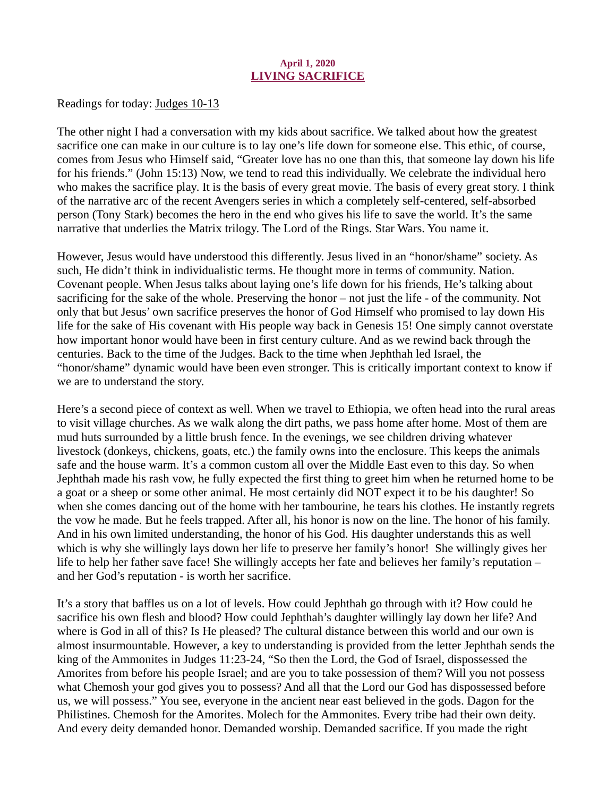#### April 1, 2020 LIVING SACRIFICE

<span id="page-2-0"></span>[Readings for today: Judges 10-13](https://www.biblegateway.com/passage/?search=Judges+10-13&version=ESV)

The other night I had a conversation with my kids about sacrifice. We talked about how the greatest sacrifice one can make in our culture is to lay one's life down for someone else. This ethic, of course, comes from Jesus who Himself said, "Greater love has no one than this, that someone lay down his life for his friends." (John 15:13) Now, we tend to read this individually. We celebrate the individual hero who makes the sacrifice play. It is the basis of every great movie. The basis of every great story. I think of the narrative arc of the recent Avengers series in which a completely self-centered, self-absorbed person (Tony Stark) becomes the hero in the end who gives his life to save the world. It's the same narrative that underlies the Matrix trilogy. The Lord of the Rings. Star Wars. You name it.

However, Jesus would have understood this differently. Jesus lived in an "honor/shame" society. As such, He didn't think in individualistic terms. He thought more in terms of community. Nation. Covenant people. When Jesus talks about laying one's life down for his friends, He's talking about sacrificing for the sake of the whole. Preserving the honor – not just the life - of the community. Not only that but Jesus' own sacrifice preserves the honor of God Himself who promised to lay down His life for the sake of His covenant with His people way back in Genesis 15! One simply cannot overstate how important honor would have been in first century culture. And as we rewind back through the centuries. Back to the time of the Judges. Back to the time when Jephthah led Israel, the "honor/shame" dynamic would have been even stronger. This is critically important context to know if we are to understand the story.

Here's a second piece of context as well. When we travel to Ethiopia, we often head into the rural areas to visit village churches. As we walk along the dirt paths, we pass home after home. Most of them are mud huts surrounded by a little brush fence. In the evenings, we see children driving whatever livestock (donkeys, chickens, goats, etc.) the family owns into the enclosure. This keeps the animals safe and the house warm. It's a common custom all over the Middle East even to this day. So when Jephthah made his rash vow, he fully expected the first thing to greet him when he returned home to be a goat or a sheep or some other animal. He most certainly did NOT expect it to be his daughter! So when she comes dancing out of the home with her tambourine, he tears his clothes. He instantly regrets the vow he made. But he feels trapped. After all, his honor is now on the line. The honor of his family. And in his own limited understanding, the honor of his God. His daughter understands this as well which is why she willingly lays down her life to preserve her family's honor! She willingly gives her life to help her father save face! She willingly accepts her fate and believes her family's reputation – and her God's reputation - is worth her sacrifice.

It's a story that baffles us on a lot of levels. How could Jephthah go through with it? How could he sacrifice his own flesh and blood? How could Jephthah's daughter willingly lay down her life? And where is God in all of this? Is He pleased? The cultural distance between this world and our own is almost insurmountable. However, a key to understanding is provided from the letter Jephthah sends the king of the Ammonites in Judges 11:23-24, "So then the Lord, the God of Israel, dispossessed the Amorites from before his people Israel; and are you to take possession of them? Will you not possess what Chemosh your god gives you to possess? And all that the Lord our God has dispossessed before us, we will possess." You see, everyone in the ancient near east believed in the gods. Dagon for the Philistines. Chemosh for the Amorites. Molech for the Ammonites. Every tribe had their own deity. And every deity demanded honor. Demanded worship. Demanded sacrifice. If you made the right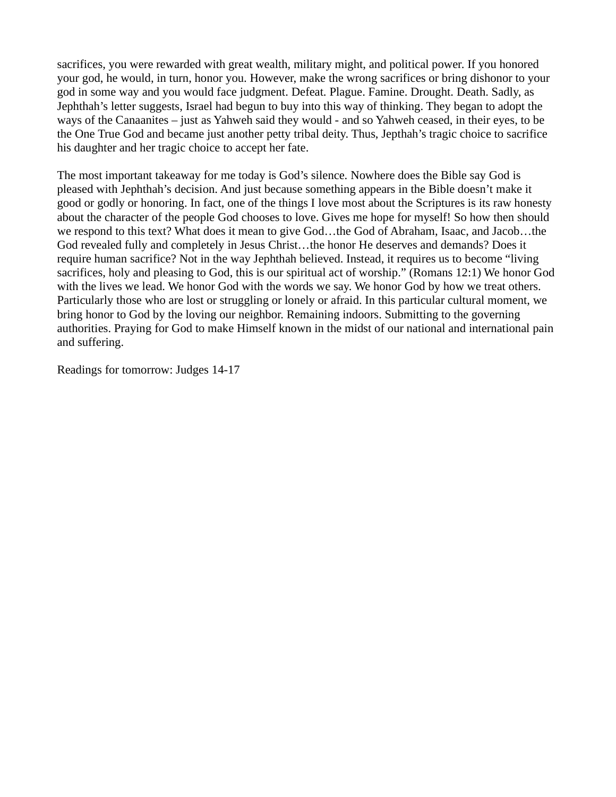sacrifices, you were rewarded with great wealth, military might, and political power. If you honored your god, he would, in turn, honor you. However, make the wrong sacrifices or bring dishonor to your god in some way and you would face judgment. Defeat. Plague. Famine. Drought. Death. Sadly, as Jephthah's letter suggests, Israel had begun to buy into this way of thinking. They began to adopt the ways of the Canaanites – just as Yahweh said they would - and so Yahweh ceased, in their eyes, to be the One True God and became just another petty tribal deity. Thus, Jepthah's tragic choice to sacrifice his daughter and her tragic choice to accept her fate.

The most important takeaway for me today is God's silence. Nowhere does the Bible say God is pleased with Jephthah's decision. And just because something appears in the Bible doesn't make it good or godly or honoring. In fact, one of the things I love most about the Scriptures is its raw honesty about the character of the people God chooses to love. Gives me hope for myself! So how then should we respond to this text? What does it mean to give God…the God of Abraham, Isaac, and Jacob…the God revealed fully and completely in Jesus Christ…the honor He deserves and demands? Does it require human sacrifice? Not in the way Jephthah believed. Instead, it requires us to become "living sacrifices, holy and pleasing to God, this is our spiritual act of worship." (Romans 12:1) We honor God with the lives we lead. We honor God with the words we say. We honor God by how we treat others. Particularly those who are lost or struggling or lonely or afraid. In this particular cultural moment, we bring honor to God by the loving our neighbor. Remaining indoors. Submitting to the governing authorities. Praying for God to make Himself known in the midst of our national and international pain and suffering.

Readings for tomorrow: Judges 14-17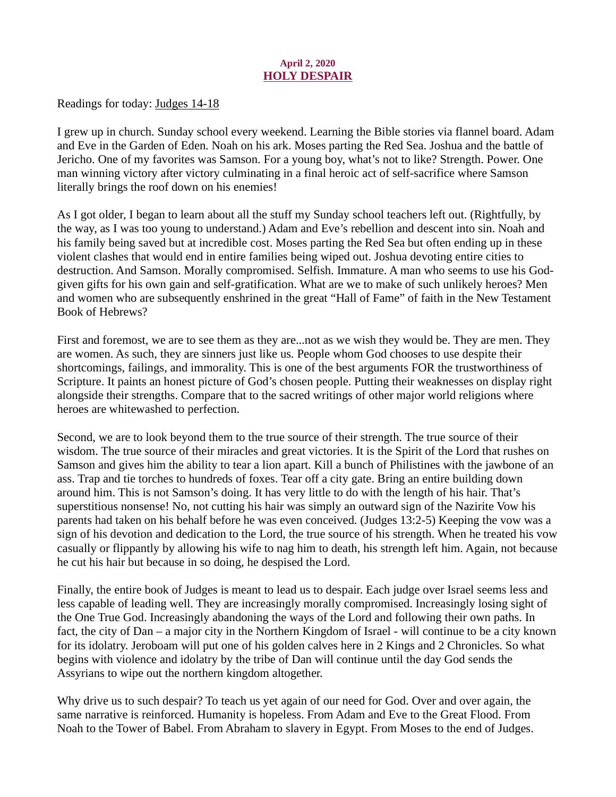## April 2, 2020 HOLY DESPAIR

<span id="page-4-0"></span>[Readings for today: Judges 14-18](https://www.biblegateway.com/passage/?search=Judges+14-18&version=ESV)

I grew up in church. Sunday school every weekend. Learning the Bible stories via flannel board. Adam and Eve in the Garden of Eden. Noah on his ark. Moses parting the Red Sea. Joshua and the battle of Jericho. One of my favorites was Samson. For a young boy, what's not to like? Strength. Power. One man winning victory after victory culminating in a final heroic act of self-sacrifice where Samson literally brings the roof down on his enemies!

As I got older, I began to learn about all the stuff my Sunday school teachers left out. (Rightfully, by the way, as I was too young to understand.) Adam and Eve's rebellion and descent into sin. Noah and his family being saved but at incredible cost. Moses parting the Red Sea but often ending up in these violent clashes that would end in entire families being wiped out. Joshua devoting entire cities to destruction. And Samson. Morally compromised. Selfish. Immature. A man who seems to use his Godgiven gifts for his own gain and self-gratification. What are we to make of such unlikely heroes? Men and women who are subsequently enshrined in the great "Hall of Fame" of faith in the New Testament Book of Hebrews?

First and foremost, we are to see them as they are...not as we wish they would be. They are men. They are women. As such, they are sinners just like us. People whom God chooses to use despite their shortcomings, failings, and immorality. This is one of the best arguments FOR the trustworthiness of Scripture. It paints an honest picture of God's chosen people. Putting their weaknesses on display right alongside their strengths. Compare that to the sacred writings of other major world religions where heroes are whitewashed to perfection.

Second, we are to look beyond them to the true source of their strength. The true source of their wisdom. The true source of their miracles and great victories. It is the Spirit of the Lord that rushes on Samson and gives him the ability to tear a lion apart. Kill a bunch of Philistines with the jawbone of an ass. Trap and tie torches to hundreds of foxes. Tear off a city gate. Bring an entire building down around him. This is not Samson's doing. It has very little to do with the length of his hair. That's superstitious nonsense! No, not cutting his hair was simply an outward sign of the Nazirite Vow his parents had taken on his behalf before he was even conceived. (Judges 13:2-5) Keeping the vow was a sign of his devotion and dedication to the Lord, the true source of his strength. When he treated his vow casually or flippantly by allowing his wife to nag him to death, his strength left him. Again, not because he cut his hair but because in so doing, he despised the Lord.

Finally, the entire book of Judges is meant to lead us to despair. Each judge over Israel seems less and less capable of leading well. They are increasingly morally compromised. Increasingly losing sight of the One True God. Increasingly abandoning the ways of the Lord and following their own paths. In fact, the city of Dan – a major city in the Northern Kingdom of Israel - will continue to be a city known for its idolatry. Jeroboam will put one of his golden calves here in 2 Kings and 2 Chronicles. So what begins with violence and idolatry by the tribe of Dan will continue until the day God sends the Assyrians to wipe out the northern kingdom altogether.

Why drive us to such despair? To teach us yet again of our need for God. Over and over again, the same narrative is reinforced. Humanity is hopeless. From Adam and Eve to the Great Flood. From Noah to the Tower of Babel. From Abraham to slavery in Egypt. From Moses to the end of Judges.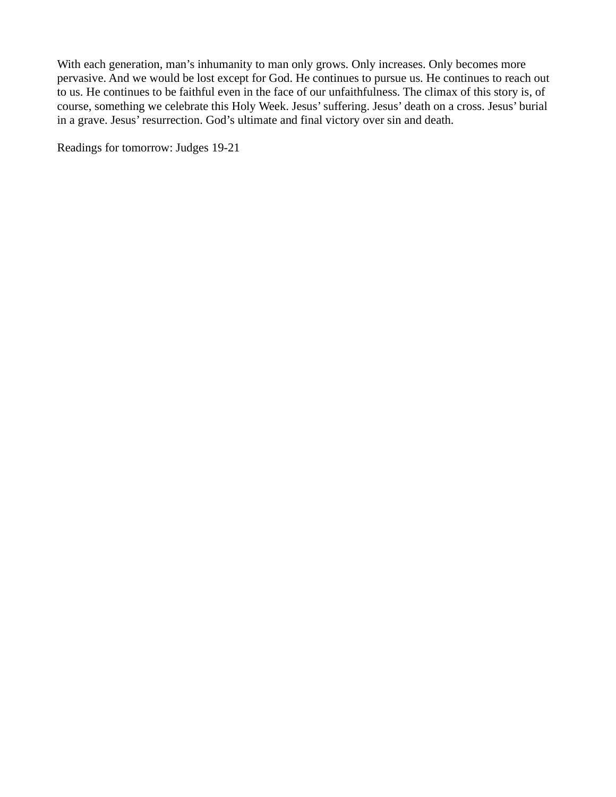With each generation, man's inhumanity to man only grows. Only increases. Only becomes more pervasive. And we would be lost except for God. He continues to pursue us. He continues to reach out to us. He continues to be faithful even in the face of our unfaithfulness. The climax of this story is, of course, something we celebrate this Holy Week. Jesus' suffering. Jesus' death on a cross. Jesus' burial in a grave. Jesus' resurrection. God's ultimate and final victory over sin and death.

Readings for tomorrow: Judges 19-21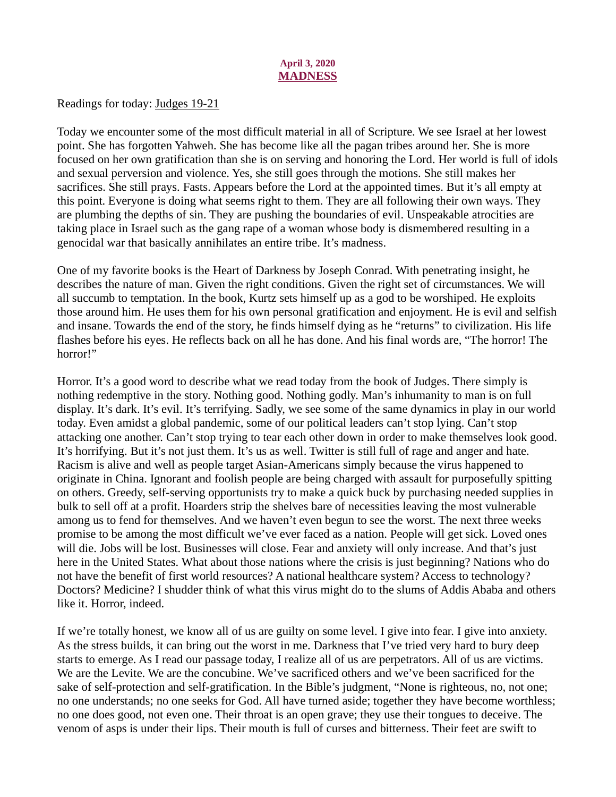## April 3, 2020 **MADNESS**

<span id="page-6-0"></span>[Readings for today: Judges 19-21](https://www.biblegateway.com/passage/?search=Judges+19-21&version=NIV)

Today we encounter some of the most difficult material in all of Scripture. We see Israel at her lowest point. She has forgotten Yahweh. She has become like all the pagan tribes around her. She is more focused on her own gratification than she is on serving and honoring the Lord. Her world is full of idols and sexual perversion and violence. Yes, she still goes through the motions. She still makes her sacrifices. She still prays. Fasts. Appears before the Lord at the appointed times. But it's all empty at this point. Everyone is doing what seems right to them. They are all following their own ways. They are plumbing the depths of sin. They are pushing the boundaries of evil. Unspeakable atrocities are taking place in Israel such as the gang rape of a woman whose body is dismembered resulting in a genocidal war that basically annihilates an entire tribe. It's madness.

One of my favorite books is the Heart of Darkness by Joseph Conrad. With penetrating insight, he describes the nature of man. Given the right conditions. Given the right set of circumstances. We will all succumb to temptation. In the book, Kurtz sets himself up as a god to be worshiped. He exploits those around him. He uses them for his own personal gratification and enjoyment. He is evil and selfish and insane. Towards the end of the story, he finds himself dying as he "returns" to civilization. His life flashes before his eyes. He reflects back on all he has done. And his final words are, "The horror! The horror!"

Horror. It's a good word to describe what we read today from the book of Judges. There simply is nothing redemptive in the story. Nothing good. Nothing godly. Man's inhumanity to man is on full display. It's dark. It's evil. It's terrifying. Sadly, we see some of the same dynamics in play in our world today. Even amidst a global pandemic, some of our political leaders can't stop lying. Can't stop attacking one another. Can't stop trying to tear each other down in order to make themselves look good. It's horrifying. But it's not just them. It's us as well. Twitter is still full of rage and anger and hate. Racism is alive and well as people target Asian-Americans simply because the virus happened to originate in China. Ignorant and foolish people are being charged with assault for purposefully spitting on others. Greedy, self-serving opportunists try to make a quick buck by purchasing needed supplies in bulk to sell off at a profit. Hoarders strip the shelves bare of necessities leaving the most vulnerable among us to fend for themselves. And we haven't even begun to see the worst. The next three weeks promise to be among the most difficult we've ever faced as a nation. People will get sick. Loved ones will die. Jobs will be lost. Businesses will close. Fear and anxiety will only increase. And that's just here in the United States. What about those nations where the crisis is just beginning? Nations who do not have the benefit of first world resources? A national healthcare system? Access to technology? Doctors? Medicine? I shudder think of what this virus might do to the slums of Addis Ababa and others like it. Horror, indeed.

If we're totally honest, we know all of us are guilty on some level. I give into fear. I give into anxiety. As the stress builds, it can bring out the worst in me. Darkness that I've tried very hard to bury deep starts to emerge. As I read our passage today, I realize all of us are perpetrators. All of us are victims. We are the Levite. We are the concubine. We've sacrificed others and we've been sacrificed for the sake of self-protection and self-gratification. In the Bible's judgment, "None is righteous, no, not one; no one understands; no one seeks for God. All have turned aside; together they have become worthless; no one does good, not even one. Their throat is an open grave; they use their tongues to deceive. The venom of asps is under their lips. Their mouth is full of curses and bitterness. Their feet are swift to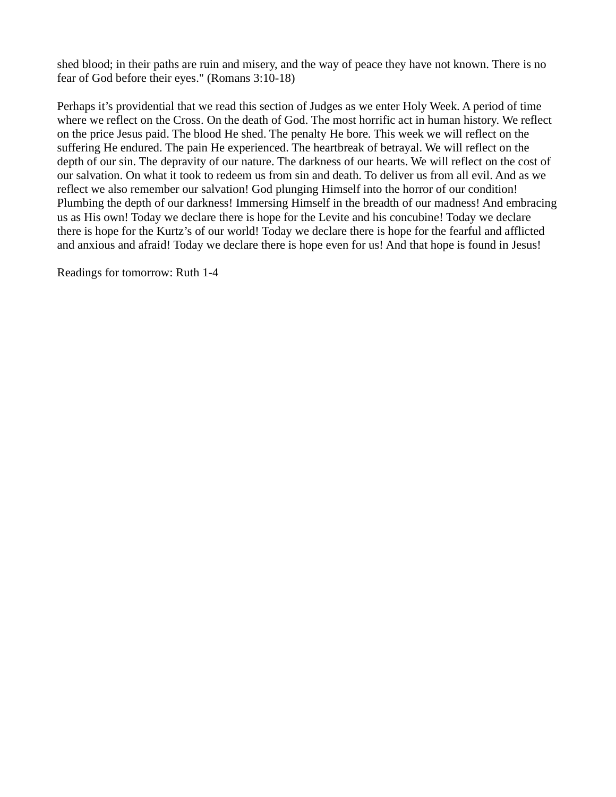shed blood; in their paths are ruin and misery, and the way of peace they have not known. There is no fear of God before their eyes." (Romans 3:10-18)

Perhaps it's providential that we read this section of Judges as we enter Holy Week. A period of time where we reflect on the Cross. On the death of God. The most horrific act in human history. We reflect on the price Jesus paid. The blood He shed. The penalty He bore. This week we will reflect on the suffering He endured. The pain He experienced. The heartbreak of betrayal. We will reflect on the depth of our sin. The depravity of our nature. The darkness of our hearts. We will reflect on the cost of our salvation. On what it took to redeem us from sin and death. To deliver us from all evil. And as we reflect we also remember our salvation! God plunging Himself into the horror of our condition! Plumbing the depth of our darkness! Immersing Himself in the breadth of our madness! And embracing us as His own! Today we declare there is hope for the Levite and his concubine! Today we declare there is hope for the Kurtz's of our world! Today we declare there is hope for the fearful and afflicted and anxious and afraid! Today we declare there is hope even for us! And that hope is found in Jesus!

Readings for tomorrow: Ruth 1-4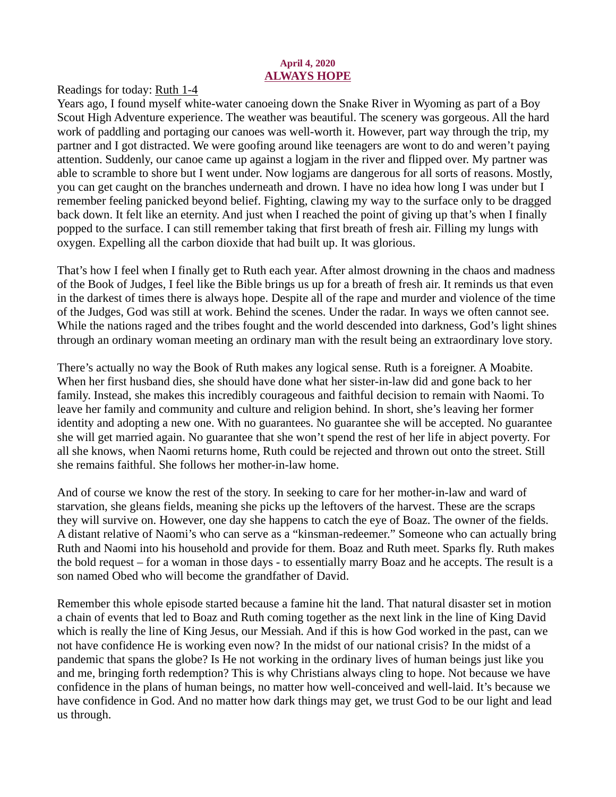## April 4, 2020 ALWAYS HOPE

<span id="page-8-0"></span>[Readings for today: Ruth 1-4](https://www.biblegateway.com/passage/?search=Ruth+1-4&version=NIV)

Years ago, I found myself white-water canoeing down the Snake River in Wyoming as part of a Boy Scout High Adventure experience. The weather was beautiful. The scenery was gorgeous. All the hard work of paddling and portaging our canoes was well-worth it. However, part way through the trip, my partner and I got distracted. We were goofing around like teenagers are wont to do and weren't paying attention. Suddenly, our canoe came up against a logjam in the river and flipped over. My partner was able to scramble to shore but I went under. Now logjams are dangerous for all sorts of reasons. Mostly, you can get caught on the branches underneath and drown. I have no idea how long I was under but I remember feeling panicked beyond belief. Fighting, clawing my way to the surface only to be dragged back down. It felt like an eternity. And just when I reached the point of giving up that's when I finally popped to the surface. I can still remember taking that first breath of fresh air. Filling my lungs with oxygen. Expelling all the carbon dioxide that had built up. It was glorious.

That's how I feel when I finally get to Ruth each year. After almost drowning in the chaos and madness of the Book of Judges, I feel like the Bible brings us up for a breath of fresh air. It reminds us that even in the darkest of times there is always hope. Despite all of the rape and murder and violence of the time of the Judges, God was still at work. Behind the scenes. Under the radar. In ways we often cannot see. While the nations raged and the tribes fought and the world descended into darkness, God's light shines through an ordinary woman meeting an ordinary man with the result being an extraordinary love story.

There's actually no way the Book of Ruth makes any logical sense. Ruth is a foreigner. A Moabite. When her first husband dies, she should have done what her sister-in-law did and gone back to her family. Instead, she makes this incredibly courageous and faithful decision to remain with Naomi. To leave her family and community and culture and religion behind. In short, she's leaving her former identity and adopting a new one. With no guarantees. No guarantee she will be accepted. No guarantee she will get married again. No guarantee that she won't spend the rest of her life in abject poverty. For all she knows, when Naomi returns home, Ruth could be rejected and thrown out onto the street. Still she remains faithful. She follows her mother-in-law home.

And of course we know the rest of the story. In seeking to care for her mother-in-law and ward of starvation, she gleans fields, meaning she picks up the leftovers of the harvest. These are the scraps they will survive on. However, one day she happens to catch the eye of Boaz. The owner of the fields. A distant relative of Naomi's who can serve as a "kinsman-redeemer." Someone who can actually bring Ruth and Naomi into his household and provide for them. Boaz and Ruth meet. Sparks fly. Ruth makes the bold request – for a woman in those days - to essentially marry Boaz and he accepts. The result is a son named Obed who will become the grandfather of David.

Remember this whole episode started because a famine hit the land. That natural disaster set in motion a chain of events that led to Boaz and Ruth coming together as the next link in the line of King David which is really the line of King Jesus, our Messiah. And if this is how God worked in the past, can we not have confidence He is working even now? In the midst of our national crisis? In the midst of a pandemic that spans the globe? Is He not working in the ordinary lives of human beings just like you and me, bringing forth redemption? This is why Christians always cling to hope. Not because we have confidence in the plans of human beings, no matter how well-conceived and well-laid. It's because we have confidence in God. And no matter how dark things may get, we trust God to be our light and lead us through.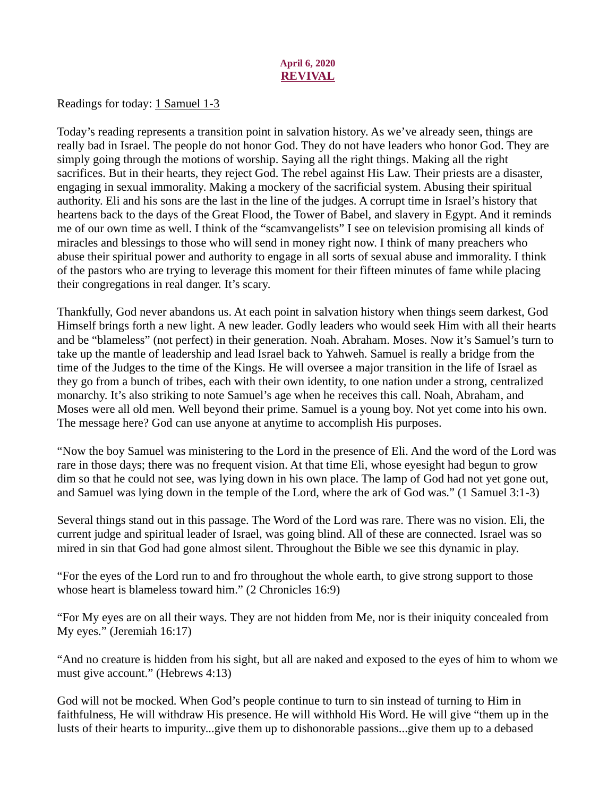## April 6, 2020 REVIVAL

<span id="page-9-0"></span>[Readings for today: 1 Samuel 1-3](https://www.biblegateway.com/passage/?search=1+Samuel+1-3&version=NIV)

Today's reading represents a transition point in salvation history. As we've already seen, things are really bad in Israel. The people do not honor God. They do not have leaders who honor God. They are simply going through the motions of worship. Saying all the right things. Making all the right sacrifices. But in their hearts, they reject God. The rebel against His Law. Their priests are a disaster, engaging in sexual immorality. Making a mockery of the sacrificial system. Abusing their spiritual authority. Eli and his sons are the last in the line of the judges. A corrupt time in Israel's history that heartens back to the days of the Great Flood, the Tower of Babel, and slavery in Egypt. And it reminds me of our own time as well. I think of the "scamvangelists" I see on television promising all kinds of miracles and blessings to those who will send in money right now. I think of many preachers who abuse their spiritual power and authority to engage in all sorts of sexual abuse and immorality. I think of the pastors who are trying to leverage this moment for their fifteen minutes of fame while placing their congregations in real danger. It's scary.

Thankfully, God never abandons us. At each point in salvation history when things seem darkest, God Himself brings forth a new light. A new leader. Godly leaders who would seek Him with all their hearts and be "blameless" (not perfect) in their generation. Noah. Abraham. Moses. Now it's Samuel's turn to take up the mantle of leadership and lead Israel back to Yahweh. Samuel is really a bridge from the time of the Judges to the time of the Kings. He will oversee a major transition in the life of Israel as they go from a bunch of tribes, each with their own identity, to one nation under a strong, centralized monarchy. It's also striking to note Samuel's age when he receives this call. Noah, Abraham, and Moses were all old men. Well beyond their prime. Samuel is a young boy. Not yet come into his own. The message here? God can use anyone at anytime to accomplish His purposes.

"Now the boy Samuel was ministering to the Lord in the presence of Eli. And the word of the Lord was rare in those days; there was no frequent vision. At that time Eli, whose eyesight had begun to grow dim so that he could not see, was lying down in his own place. The lamp of God had not yet gone out, and Samuel was lying down in the temple of the Lord, where the ark of God was." (1 Samuel 3:1-3)

Several things stand out in this passage. The Word of the Lord was rare. There was no vision. Eli, the current judge and spiritual leader of Israel, was going blind. All of these are connected. Israel was so mired in sin that God had gone almost silent. Throughout the Bible we see this dynamic in play.

"For the eyes of the Lord run to and fro throughout the whole earth, to give strong support to those whose heart is blameless toward him." (2 Chronicles 16:9)

"For My eyes are on all their ways. They are not hidden from Me, nor is their iniquity concealed from My eyes." (Jeremiah 16:17)

"And no creature is hidden from his sight, but all are naked and exposed to the eyes of him to whom we must give account." (Hebrews 4:13)

God will not be mocked. When God's people continue to turn to sin instead of turning to Him in faithfulness, He will withdraw His presence. He will withhold His Word. He will give "them up in the lusts of their hearts to impurity...give them up to dishonorable passions...give them up to a debased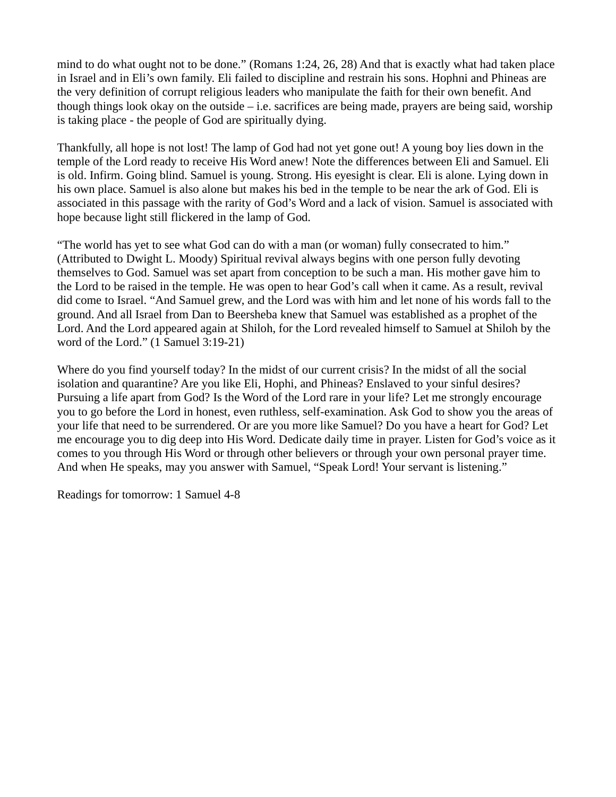mind to do what ought not to be done." (Romans 1:24, 26, 28) And that is exactly what had taken place in Israel and in Eli's own family. Eli failed to discipline and restrain his sons. Hophni and Phineas are the very definition of corrupt religious leaders who manipulate the faith for their own benefit. And though things look okay on the outside – i.e. sacrifices are being made, prayers are being said, worship is taking place - the people of God are spiritually dying.

Thankfully, all hope is not lost! The lamp of God had not yet gone out! A young boy lies down in the temple of the Lord ready to receive His Word anew! Note the differences between Eli and Samuel. Eli is old. Infirm. Going blind. Samuel is young. Strong. His eyesight is clear. Eli is alone. Lying down in his own place. Samuel is also alone but makes his bed in the temple to be near the ark of God. Eli is associated in this passage with the rarity of God's Word and a lack of vision. Samuel is associated with hope because light still flickered in the lamp of God.

"The world has yet to see what God can do with a man (or woman) fully consecrated to him." (Attributed to Dwight L. Moody) Spiritual revival always begins with one person fully devoting themselves to God. Samuel was set apart from conception to be such a man. His mother gave him to the Lord to be raised in the temple. He was open to hear God's call when it came. As a result, revival did come to Israel. "And Samuel grew, and the Lord was with him and let none of his words fall to the ground. And all Israel from Dan to Beersheba knew that Samuel was established as a prophet of the Lord. And the Lord appeared again at Shiloh, for the Lord revealed himself to Samuel at Shiloh by the word of the Lord." (1 Samuel 3:19-21)

Where do you find yourself today? In the midst of our current crisis? In the midst of all the social isolation and quarantine? Are you like Eli, Hophi, and Phineas? Enslaved to your sinful desires? Pursuing a life apart from God? Is the Word of the Lord rare in your life? Let me strongly encourage you to go before the Lord in honest, even ruthless, self-examination. Ask God to show you the areas of your life that need to be surrendered. Or are you more like Samuel? Do you have a heart for God? Let me encourage you to dig deep into His Word. Dedicate daily time in prayer. Listen for God's voice as it comes to you through His Word or through other believers or through your own personal prayer time. And when He speaks, may you answer with Samuel, "Speak Lord! Your servant is listening."

Readings for tomorrow: 1 Samuel 4-8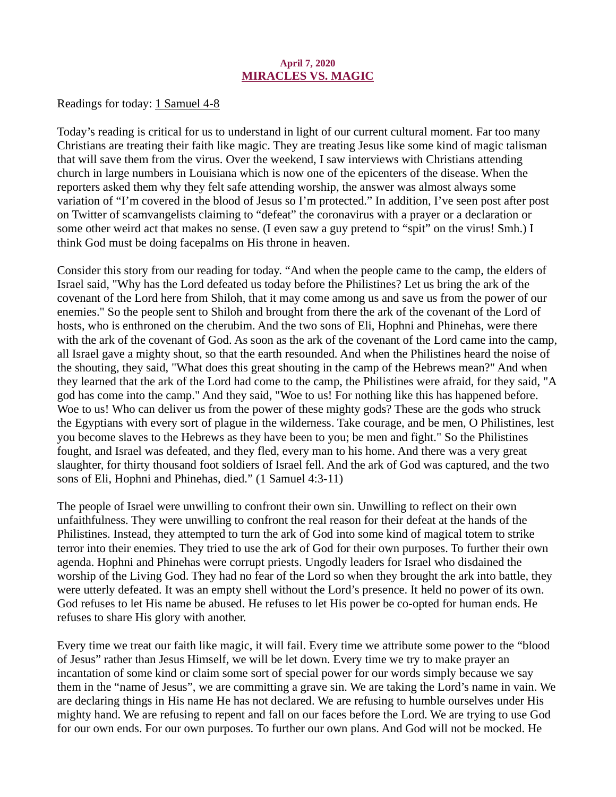## April 7, 2020 MIRACLES VS. MAGIC

<span id="page-11-0"></span>[Readings for today: 1 Samuel 4-8](https://www.biblegateway.com/passage/?search=1+Samuel+4-8&version=NIV)

Today's reading is critical for us to understand in light of our current cultural moment. Far too many Christians are treating their faith like magic. They are treating Jesus like some kind of magic talisman that will save them from the virus. Over the weekend, I saw interviews with Christians attending church in large numbers in Louisiana which is now one of the epicenters of the disease. When the reporters asked them why they felt safe attending worship, the answer was almost always some variation of "I'm covered in the blood of Jesus so I'm protected." In addition, I've seen post after post on Twitter of scamvangelists claiming to "defeat" the coronavirus with a prayer or a declaration or some other weird act that makes no sense. (I even saw a guy pretend to "spit" on the virus! Smh.) I think God must be doing facepalms on His throne in heaven.

Consider this story from our reading for today. "And when the people came to the camp, the elders of Israel said, "Why has the Lord defeated us today before the Philistines? Let us bring the ark of the covenant of the Lord here from Shiloh, that it may come among us and save us from the power of our enemies." So the people sent to Shiloh and brought from there the ark of the covenant of the Lord of hosts, who is enthroned on the cherubim. And the two sons of Eli, Hophni and Phinehas, were there with the ark of the covenant of God. As soon as the ark of the covenant of the Lord came into the camp, all Israel gave a mighty shout, so that the earth resounded. And when the Philistines heard the noise of the shouting, they said, "What does this great shouting in the camp of the Hebrews mean?" And when they learned that the ark of the Lord had come to the camp, the Philistines were afraid, for they said, "A god has come into the camp." And they said, "Woe to us! For nothing like this has happened before. Woe to us! Who can deliver us from the power of these mighty gods? These are the gods who struck the Egyptians with every sort of plague in the wilderness. Take courage, and be men, O Philistines, lest you become slaves to the Hebrews as they have been to you; be men and fight." So the Philistines fought, and Israel was defeated, and they fled, every man to his home. And there was a very great slaughter, for thirty thousand foot soldiers of Israel fell. And the ark of God was captured, and the two sons of Eli, Hophni and Phinehas, died." (1 Samuel 4:3-11)

The people of Israel were unwilling to confront their own sin. Unwilling to reflect on their own unfaithfulness. They were unwilling to confront the real reason for their defeat at the hands of the Philistines. Instead, they attempted to turn the ark of God into some kind of magical totem to strike terror into their enemies. They tried to use the ark of God for their own purposes. To further their own agenda. Hophni and Phinehas were corrupt priests. Ungodly leaders for Israel who disdained the worship of the Living God. They had no fear of the Lord so when they brought the ark into battle, they were utterly defeated. It was an empty shell without the Lord's presence. It held no power of its own. God refuses to let His name be abused. He refuses to let His power be co-opted for human ends. He refuses to share His glory with another.

Every time we treat our faith like magic, it will fail. Every time we attribute some power to the "blood of Jesus" rather than Jesus Himself, we will be let down. Every time we try to make prayer an incantation of some kind or claim some sort of special power for our words simply because we say them in the "name of Jesus", we are committing a grave sin. We are taking the Lord's name in vain. We are declaring things in His name He has not declared. We are refusing to humble ourselves under His mighty hand. We are refusing to repent and fall on our faces before the Lord. We are trying to use God for our own ends. For our own purposes. To further our own plans. And God will not be mocked. He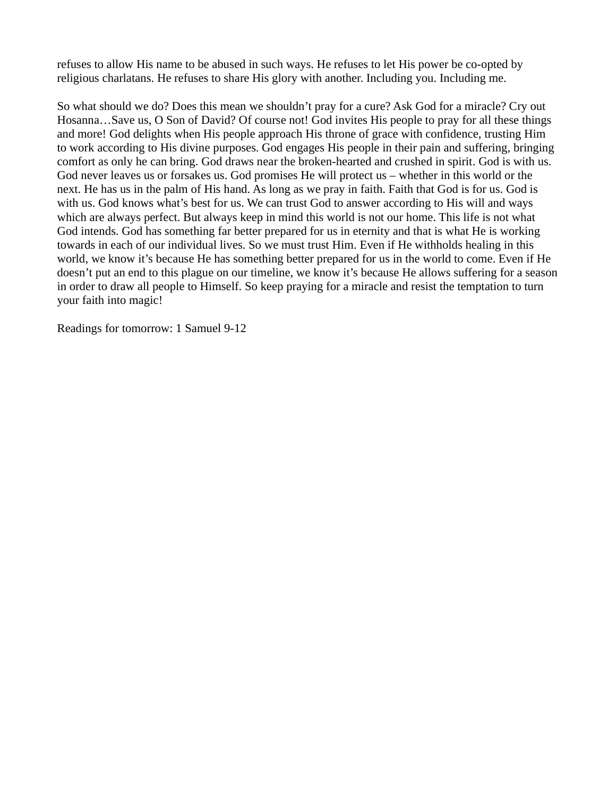refuses to allow His name to be abused in such ways. He refuses to let His power be co-opted by religious charlatans. He refuses to share His glory with another. Including you. Including me.

So what should we do? Does this mean we shouldn't pray for a cure? Ask God for a miracle? Cry out Hosanna…Save us, O Son of David? Of course not! God invites His people to pray for all these things and more! God delights when His people approach His throne of grace with confidence, trusting Him to work according to His divine purposes. God engages His people in their pain and suffering, bringing comfort as only he can bring. God draws near the broken-hearted and crushed in spirit. God is with us. God never leaves us or forsakes us. God promises He will protect us – whether in this world or the next. He has us in the palm of His hand. As long as we pray in faith. Faith that God is for us. God is with us. God knows what's best for us. We can trust God to answer according to His will and ways which are always perfect. But always keep in mind this world is not our home. This life is not what God intends. God has something far better prepared for us in eternity and that is what He is working towards in each of our individual lives. So we must trust Him. Even if He withholds healing in this world, we know it's because He has something better prepared for us in the world to come. Even if He doesn't put an end to this plague on our timeline, we know it's because He allows suffering for a season in order to draw all people to Himself. So keep praying for a miracle and resist the temptation to turn your faith into magic!

Readings for tomorrow: 1 Samuel 9-12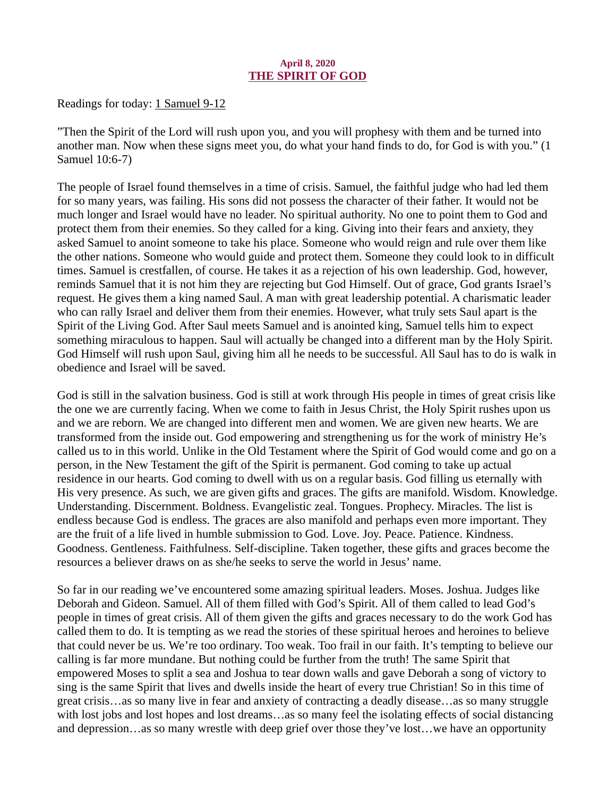#### April 8, 2020 THE SPIRIT OF GOD

<span id="page-13-0"></span>[Readings for today: 1 Samuel 9-12](https://www.biblegateway.com/passage/?search=1+Samuel+9-12&version=ESV)

"Then the Spirit of the Lord will rush upon you, and you will prophesy with them and be turned into another man. Now when these signs meet you, do what your hand finds to do, for God is with you." (1 Samuel 10:6-7)

The people of Israel found themselves in a time of crisis. Samuel, the faithful judge who had led them for so many years, was failing. His sons did not possess the character of their father. It would not be much longer and Israel would have no leader. No spiritual authority. No one to point them to God and protect them from their enemies. So they called for a king. Giving into their fears and anxiety, they asked Samuel to anoint someone to take his place. Someone who would reign and rule over them like the other nations. Someone who would guide and protect them. Someone they could look to in difficult times. Samuel is crestfallen, of course. He takes it as a rejection of his own leadership. God, however, reminds Samuel that it is not him they are rejecting but God Himself. Out of grace, God grants Israel's request. He gives them a king named Saul. A man with great leadership potential. A charismatic leader who can rally Israel and deliver them from their enemies. However, what truly sets Saul apart is the Spirit of the Living God. After Saul meets Samuel and is anointed king, Samuel tells him to expect something miraculous to happen. Saul will actually be changed into a different man by the Holy Spirit. God Himself will rush upon Saul, giving him all he needs to be successful. All Saul has to do is walk in obedience and Israel will be saved.

God is still in the salvation business. God is still at work through His people in times of great crisis like the one we are currently facing. When we come to faith in Jesus Christ, the Holy Spirit rushes upon us and we are reborn. We are changed into different men and women. We are given new hearts. We are transformed from the inside out. God empowering and strengthening us for the work of ministry He's called us to in this world. Unlike in the Old Testament where the Spirit of God would come and go on a person, in the New Testament the gift of the Spirit is permanent. God coming to take up actual residence in our hearts. God coming to dwell with us on a regular basis. God filling us eternally with His very presence. As such, we are given gifts and graces. The gifts are manifold. Wisdom. Knowledge. Understanding. Discernment. Boldness. Evangelistic zeal. Tongues. Prophecy. Miracles. The list is endless because God is endless. The graces are also manifold and perhaps even more important. They are the fruit of a life lived in humble submission to God. Love. Joy. Peace. Patience. Kindness. Goodness. Gentleness. Faithfulness. Self-discipline. Taken together, these gifts and graces become the resources a believer draws on as she/he seeks to serve the world in Jesus' name.

So far in our reading we've encountered some amazing spiritual leaders. Moses. Joshua. Judges like Deborah and Gideon. Samuel. All of them filled with God's Spirit. All of them called to lead God's people in times of great crisis. All of them given the gifts and graces necessary to do the work God has called them to do. It is tempting as we read the stories of these spiritual heroes and heroines to believe that could never be us. We're too ordinary. Too weak. Too frail in our faith. It's tempting to believe our calling is far more mundane. But nothing could be further from the truth! The same Spirit that empowered Moses to split a sea and Joshua to tear down walls and gave Deborah a song of victory to sing is the same Spirit that lives and dwells inside the heart of every true Christian! So in this time of great crisis…as so many live in fear and anxiety of contracting a deadly disease…as so many struggle with lost jobs and lost hopes and lost dreams…as so many feel the isolating effects of social distancing and depression…as so many wrestle with deep grief over those they've lost…we have an opportunity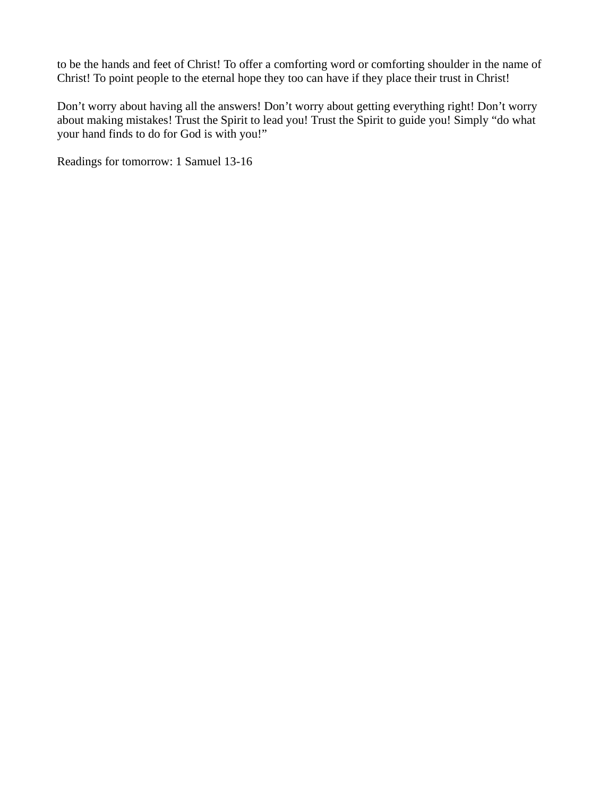to be the hands and feet of Christ! To offer a comforting word or comforting shoulder in the name of Christ! To point people to the eternal hope they too can have if they place their trust in Christ!

Don't worry about having all the answers! Don't worry about getting everything right! Don't worry about making mistakes! Trust the Spirit to lead you! Trust the Spirit to guide you! Simply "do what your hand finds to do for God is with you!"

Readings for tomorrow: 1 Samuel 13-16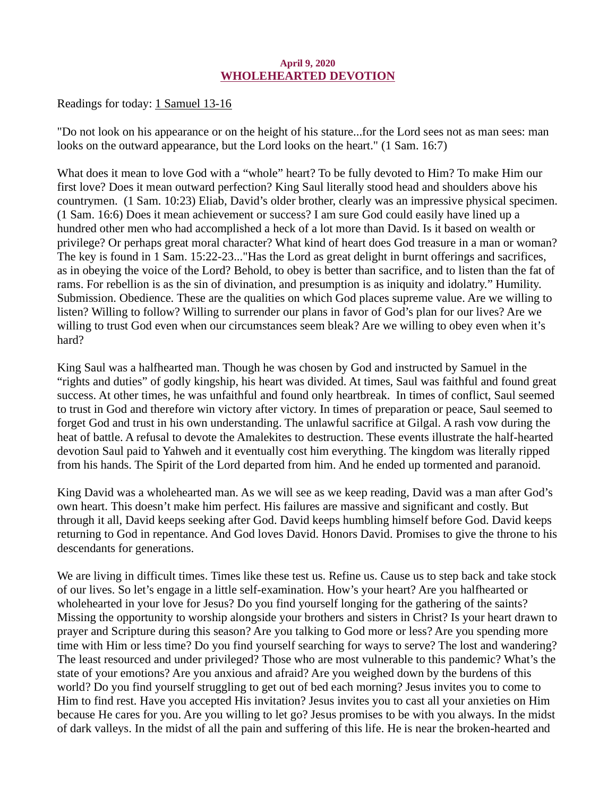#### April 9, 2020 WHOLEHEARTED DEVOTION

<span id="page-15-0"></span>[Readings for today: 1 Samuel 13-16](https://www.biblegateway.com/passage/?search=1+Samuel+13-16&version=ESV)

"Do not look on his appearance or on the height of his stature...for the Lord sees not as man sees: man looks on the outward appearance, but the Lord looks on the heart." (1 Sam. 16:7)

What does it mean to love God with a "whole" heart? To be fully devoted to Him? To make Him our first love? Does it mean outward perfection? King Saul literally stood head and shoulders above his countrymen. (1 Sam. 10:23) Eliab, David's older brother, clearly was an impressive physical specimen. (1 Sam. 16:6) Does it mean achievement or success? I am sure God could easily have lined up a hundred other men who had accomplished a heck of a lot more than David. Is it based on wealth or privilege? Or perhaps great moral character? What kind of heart does God treasure in a man or woman? The key is found in 1 Sam. 15:22-23..."Has the Lord as great delight in burnt offerings and sacrifices, as in obeying the voice of the Lord? Behold, to obey is better than sacrifice, and to listen than the fat of rams. For rebellion is as the sin of divination, and presumption is as iniquity and idolatry." Humility. Submission. Obedience. These are the qualities on which God places supreme value. Are we willing to listen? Willing to follow? Willing to surrender our plans in favor of God's plan for our lives? Are we willing to trust God even when our circumstances seem bleak? Are we willing to obey even when it's hard?

King Saul was a halfhearted man. Though he was chosen by God and instructed by Samuel in the "rights and duties" of godly kingship, his heart was divided. At times, Saul was faithful and found great success. At other times, he was unfaithful and found only heartbreak. In times of conflict, Saul seemed to trust in God and therefore win victory after victory. In times of preparation or peace, Saul seemed to forget God and trust in his own understanding. The unlawful sacrifice at Gilgal. A rash vow during the heat of battle. A refusal to devote the Amalekites to destruction. These events illustrate the half-hearted devotion Saul paid to Yahweh and it eventually cost him everything. The kingdom was literally ripped from his hands. The Spirit of the Lord departed from him. And he ended up tormented and paranoid.

King David was a wholehearted man. As we will see as we keep reading, David was a man after God's own heart. This doesn't make him perfect. His failures are massive and significant and costly. But through it all, David keeps seeking after God. David keeps humbling himself before God. David keeps returning to God in repentance. And God loves David. Honors David. Promises to give the throne to his descendants for generations.

We are living in difficult times. Times like these test us. Refine us. Cause us to step back and take stock of our lives. So let's engage in a little self-examination. How's your heart? Are you halfhearted or wholehearted in your love for Jesus? Do you find yourself longing for the gathering of the saints? Missing the opportunity to worship alongside your brothers and sisters in Christ? Is your heart drawn to prayer and Scripture during this season? Are you talking to God more or less? Are you spending more time with Him or less time? Do you find yourself searching for ways to serve? The lost and wandering? The least resourced and under privileged? Those who are most vulnerable to this pandemic? What's the state of your emotions? Are you anxious and afraid? Are you weighed down by the burdens of this world? Do you find yourself struggling to get out of bed each morning? Jesus invites you to come to Him to find rest. Have you accepted His invitation? Jesus invites you to cast all your anxieties on Him because He cares for you. Are you willing to let go? Jesus promises to be with you always. In the midst of dark valleys. In the midst of all the pain and suffering of this life. He is near the broken-hearted and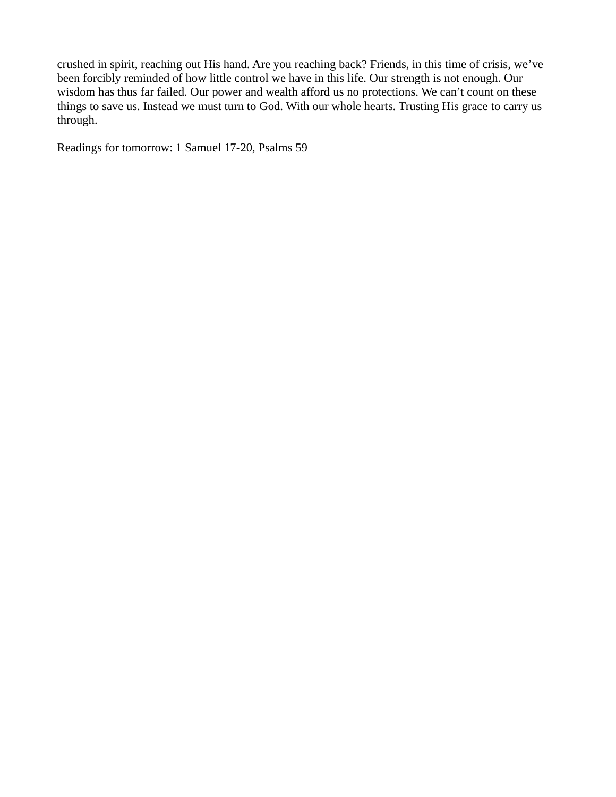crushed in spirit, reaching out His hand. Are you reaching back? Friends, in this time of crisis, we've been forcibly reminded of how little control we have in this life. Our strength is not enough. Our wisdom has thus far failed. Our power and wealth afford us no protections. We can't count on these things to save us. Instead we must turn to God. With our whole hearts. Trusting His grace to carry us through.

Readings for tomorrow: 1 Samuel 17-20, Psalms 59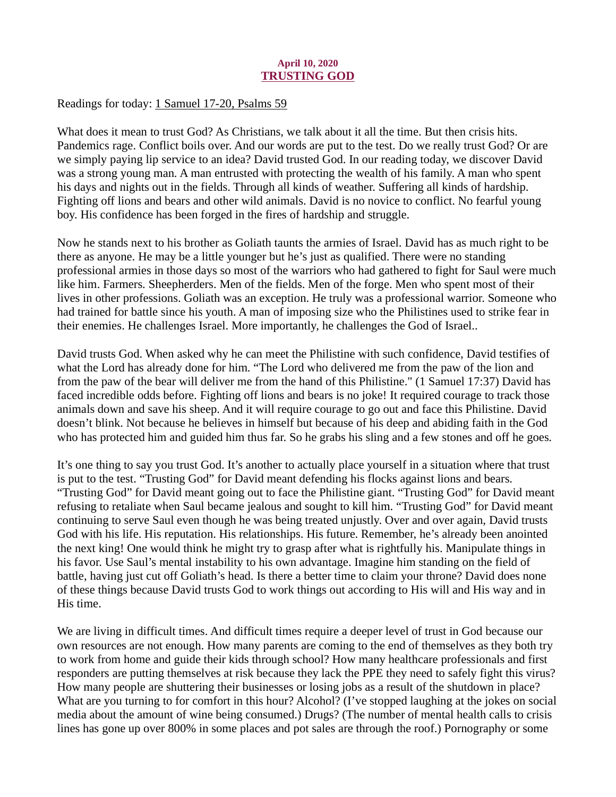## April 10, 2020 TRUSTING GOD

<span id="page-17-0"></span>[Readings for today: 1 Samuel 17-20, Psalms 59](https://www.biblegateway.com/passage/?search=1+Samuel+17-20%2C+Psalms+59&version=ESV)

What does it mean to trust God? As Christians, we talk about it all the time. But then crisis hits. Pandemics rage. Conflict boils over. And our words are put to the test. Do we really trust God? Or are we simply paying lip service to an idea? David trusted God. In our reading today, we discover David was a strong young man. A man entrusted with protecting the wealth of his family. A man who spent his days and nights out in the fields. Through all kinds of weather. Suffering all kinds of hardship. Fighting off lions and bears and other wild animals. David is no novice to conflict. No fearful young boy. His confidence has been forged in the fires of hardship and struggle.

Now he stands next to his brother as Goliath taunts the armies of Israel. David has as much right to be there as anyone. He may be a little younger but he's just as qualified. There were no standing professional armies in those days so most of the warriors who had gathered to fight for Saul were much like him. Farmers. Sheepherders. Men of the fields. Men of the forge. Men who spent most of their lives in other professions. Goliath was an exception. He truly was a professional warrior. Someone who had trained for battle since his youth. A man of imposing size who the Philistines used to strike fear in their enemies. He challenges Israel. More importantly, he challenges the God of Israel..

David trusts God. When asked why he can meet the Philistine with such confidence, David testifies of what the Lord has already done for him. "The Lord who delivered me from the paw of the lion and from the paw of the bear will deliver me from the hand of this Philistine." (1 Samuel 17:37) David has faced incredible odds before. Fighting off lions and bears is no joke! It required courage to track those animals down and save his sheep. And it will require courage to go out and face this Philistine. David doesn't blink. Not because he believes in himself but because of his deep and abiding faith in the God who has protected him and guided him thus far. So he grabs his sling and a few stones and off he goes.

It's one thing to say you trust God. It's another to actually place yourself in a situation where that trust is put to the test. "Trusting God" for David meant defending his flocks against lions and bears. "Trusting God" for David meant going out to face the Philistine giant. "Trusting God" for David meant refusing to retaliate when Saul became jealous and sought to kill him. "Trusting God" for David meant continuing to serve Saul even though he was being treated unjustly. Over and over again, David trusts God with his life. His reputation. His relationships. His future. Remember, he's already been anointed the next king! One would think he might try to grasp after what is rightfully his. Manipulate things in his favor. Use Saul's mental instability to his own advantage. Imagine him standing on the field of battle, having just cut off Goliath's head. Is there a better time to claim your throne? David does none of these things because David trusts God to work things out according to His will and His way and in His time.

We are living in difficult times. And difficult times require a deeper level of trust in God because our own resources are not enough. How many parents are coming to the end of themselves as they both try to work from home and guide their kids through school? How many healthcare professionals and first responders are putting themselves at risk because they lack the PPE they need to safely fight this virus? How many people are shuttering their businesses or losing jobs as a result of the shutdown in place? What are you turning to for comfort in this hour? Alcohol? (I've stopped laughing at the jokes on social media about the amount of wine being consumed.) Drugs? (The number of mental health calls to crisis lines has gone up over 800% in some places and pot sales are through the roof.) Pornography or some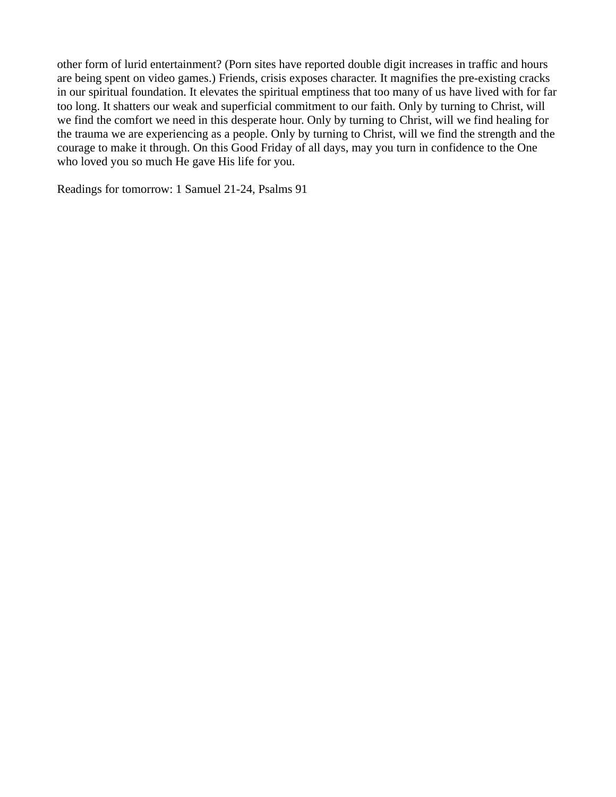other form of lurid entertainment? (Porn sites have reported double digit increases in traffic and hours are being spent on video games.) Friends, crisis exposes character. It magnifies the pre-existing cracks in our spiritual foundation. It elevates the spiritual emptiness that too many of us have lived with for far too long. It shatters our weak and superficial commitment to our faith. Only by turning to Christ, will we find the comfort we need in this desperate hour. Only by turning to Christ, will we find healing for the trauma we are experiencing as a people. Only by turning to Christ, will we find the strength and the courage to make it through. On this Good Friday of all days, may you turn in confidence to the One who loved you so much He gave His life for you.

Readings for tomorrow: 1 Samuel 21-24, Psalms 91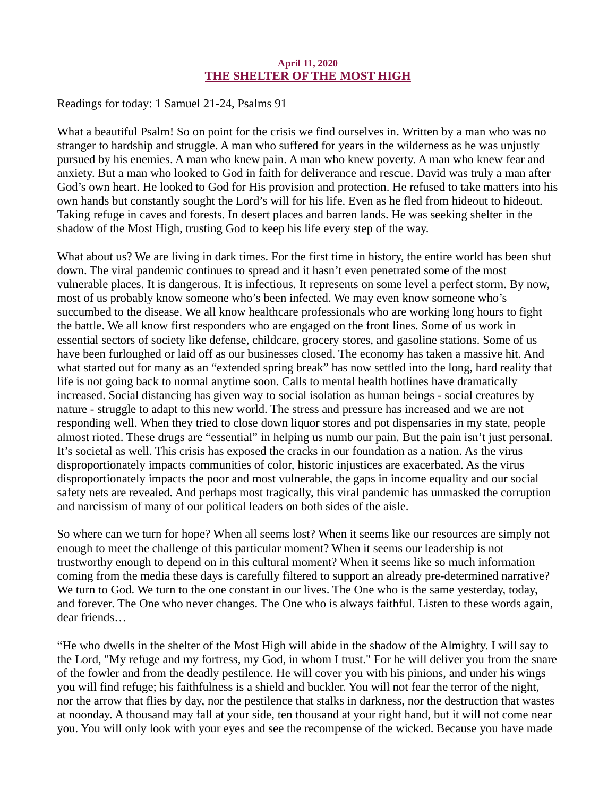#### April 11, 2020 THE SHELTER OF THE MOST HIGH

<span id="page-19-0"></span>[Readings for today: 1 Samuel 21-24, Psalms 91](https://www.biblegateway.com/passage/?search=1+Samuel+21-24%2C+Psalms+91&version=ESV)

What a beautiful Psalm! So on point for the crisis we find ourselves in. Written by a man who was no stranger to hardship and struggle. A man who suffered for years in the wilderness as he was unjustly pursued by his enemies. A man who knew pain. A man who knew poverty. A man who knew fear and anxiety. But a man who looked to God in faith for deliverance and rescue. David was truly a man after God's own heart. He looked to God for His provision and protection. He refused to take matters into his own hands but constantly sought the Lord's will for his life. Even as he fled from hideout to hideout. Taking refuge in caves and forests. In desert places and barren lands. He was seeking shelter in the shadow of the Most High, trusting God to keep his life every step of the way.

What about us? We are living in dark times. For the first time in history, the entire world has been shut down. The viral pandemic continues to spread and it hasn't even penetrated some of the most vulnerable places. It is dangerous. It is infectious. It represents on some level a perfect storm. By now, most of us probably know someone who's been infected. We may even know someone who's succumbed to the disease. We all know healthcare professionals who are working long hours to fight the battle. We all know first responders who are engaged on the front lines. Some of us work in essential sectors of society like defense, childcare, grocery stores, and gasoline stations. Some of us have been furloughed or laid off as our businesses closed. The economy has taken a massive hit. And what started out for many as an "extended spring break" has now settled into the long, hard reality that life is not going back to normal anytime soon. Calls to mental health hotlines have dramatically increased. Social distancing has given way to social isolation as human beings - social creatures by nature - struggle to adapt to this new world. The stress and pressure has increased and we are not responding well. When they tried to close down liquor stores and pot dispensaries in my state, people almost rioted. These drugs are "essential" in helping us numb our pain. But the pain isn't just personal. It's societal as well. This crisis has exposed the cracks in our foundation as a nation. As the virus disproportionately impacts communities of color, historic injustices are exacerbated. As the virus disproportionately impacts the poor and most vulnerable, the gaps in income equality and our social safety nets are revealed. And perhaps most tragically, this viral pandemic has unmasked the corruption and narcissism of many of our political leaders on both sides of the aisle.

So where can we turn for hope? When all seems lost? When it seems like our resources are simply not enough to meet the challenge of this particular moment? When it seems our leadership is not trustworthy enough to depend on in this cultural moment? When it seems like so much information coming from the media these days is carefully filtered to support an already pre-determined narrative? We turn to God. We turn to the one constant in our lives. The One who is the same yesterday, today, and forever. The One who never changes. The One who is always faithful. Listen to these words again, dear friends…

"He who dwells in the shelter of the Most High will abide in the shadow of the Almighty. I will say to the Lord, "My refuge and my fortress, my God, in whom I trust." For he will deliver you from the snare of the fowler and from the deadly pestilence. He will cover you with his pinions, and under his wings you will find refuge; his faithfulness is a shield and buckler. You will not fear the terror of the night, nor the arrow that flies by day, nor the pestilence that stalks in darkness, nor the destruction that wastes at noonday. A thousand may fall at your side, ten thousand at your right hand, but it will not come near you. You will only look with your eyes and see the recompense of the wicked. Because you have made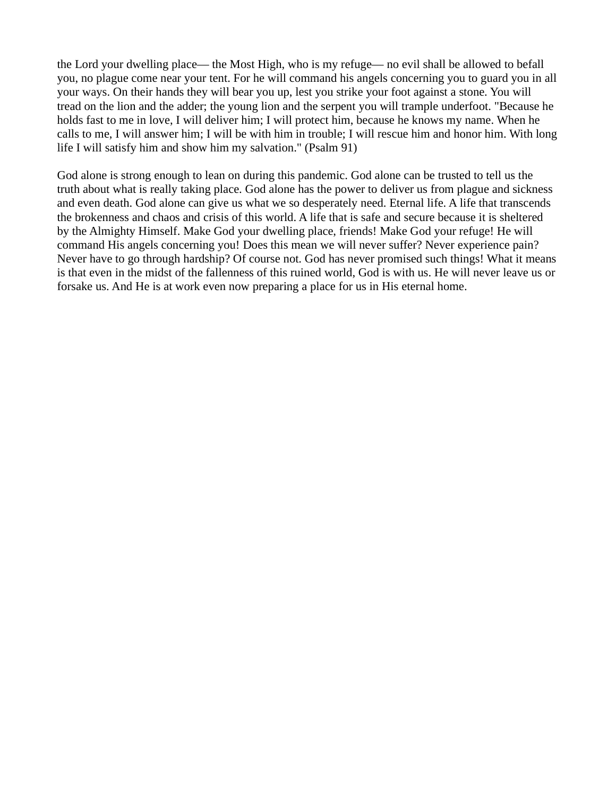the Lord your dwelling place— the Most High, who is my refuge— no evil shall be allowed to befall you, no plague come near your tent. For he will command his angels concerning you to guard you in all your ways. On their hands they will bear you up, lest you strike your foot against a stone. You will tread on the lion and the adder; the young lion and the serpent you will trample underfoot. "Because he holds fast to me in love, I will deliver him; I will protect him, because he knows my name. When he calls to me, I will answer him; I will be with him in trouble; I will rescue him and honor him. With long life I will satisfy him and show him my salvation." (Psalm 91)

God alone is strong enough to lean on during this pandemic. God alone can be trusted to tell us the truth about what is really taking place. God alone has the power to deliver us from plague and sickness and even death. God alone can give us what we so desperately need. Eternal life. A life that transcends the brokenness and chaos and crisis of this world. A life that is safe and secure because it is sheltered by the Almighty Himself. Make God your dwelling place, friends! Make God your refuge! He will command His angels concerning you! Does this mean we will never suffer? Never experience pain? Never have to go through hardship? Of course not. God has never promised such things! What it means is that even in the midst of the fallenness of this ruined world, God is with us. He will never leave us or forsake us. And He is at work even now preparing a place for us in His eternal home.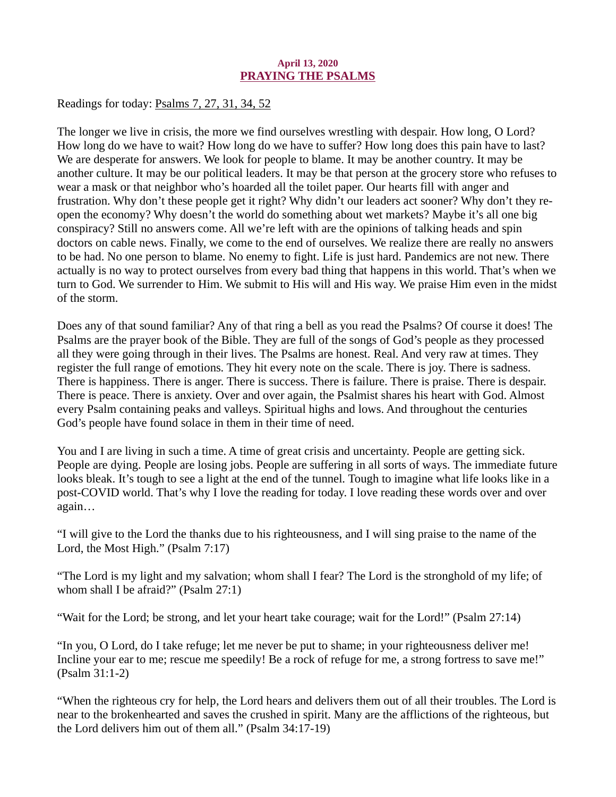## April 13, 2020 PRAYING THE PSALMS

<span id="page-21-0"></span>[Readings for today: Psalms 7, 27, 31, 34, 52](https://www.biblegateway.com/passage/?search=Psalms+7%2C+27%2C+31%2C+34%2C+52&version=ESV)

The longer we live in crisis, the more we find ourselves wrestling with despair. How long, O Lord? How long do we have to wait? How long do we have to suffer? How long does this pain have to last? We are desperate for answers. We look for people to blame. It may be another country. It may be another culture. It may be our political leaders. It may be that person at the grocery store who refuses to wear a mask or that neighbor who's hoarded all the toilet paper. Our hearts fill with anger and frustration. Why don't these people get it right? Why didn't our leaders act sooner? Why don't they reopen the economy? Why doesn't the world do something about wet markets? Maybe it's all one big conspiracy? Still no answers come. All we're left with are the opinions of talking heads and spin doctors on cable news. Finally, we come to the end of ourselves. We realize there are really no answers to be had. No one person to blame. No enemy to fight. Life is just hard. Pandemics are not new. There actually is no way to protect ourselves from every bad thing that happens in this world. That's when we turn to God. We surrender to Him. We submit to His will and His way. We praise Him even in the midst of the storm.

Does any of that sound familiar? Any of that ring a bell as you read the Psalms? Of course it does! The Psalms are the prayer book of the Bible. They are full of the songs of God's people as they processed all they were going through in their lives. The Psalms are honest. Real. And very raw at times. They register the full range of emotions. They hit every note on the scale. There is joy. There is sadness. There is happiness. There is anger. There is success. There is failure. There is praise. There is despair. There is peace. There is anxiety. Over and over again, the Psalmist shares his heart with God. Almost every Psalm containing peaks and valleys. Spiritual highs and lows. And throughout the centuries God's people have found solace in them in their time of need.

You and I are living in such a time. A time of great crisis and uncertainty. People are getting sick. People are dying. People are losing jobs. People are suffering in all sorts of ways. The immediate future looks bleak. It's tough to see a light at the end of the tunnel. Tough to imagine what life looks like in a post-COVID world. That's why I love the reading for today. I love reading these words over and over again…

"I will give to the Lord the thanks due to his righteousness, and I will sing praise to the name of the Lord, the Most High." (Psalm 7:17)

"The Lord is my light and my salvation; whom shall I fear? The Lord is the stronghold of my life; of whom shall I be afraid?" (Psalm 27:1)

"Wait for the Lord; be strong, and let your heart take courage; wait for the Lord!" (Psalm 27:14)

"In you, O Lord, do I take refuge; let me never be put to shame; in your righteousness deliver me! Incline your ear to me; rescue me speedily! Be a rock of refuge for me, a strong fortress to save me!" (Psalm 31:1-2)

"When the righteous cry for help, the Lord hears and delivers them out of all their troubles. The Lord is near to the brokenhearted and saves the crushed in spirit. Many are the afflictions of the righteous, but the Lord delivers him out of them all." (Psalm 34:17-19)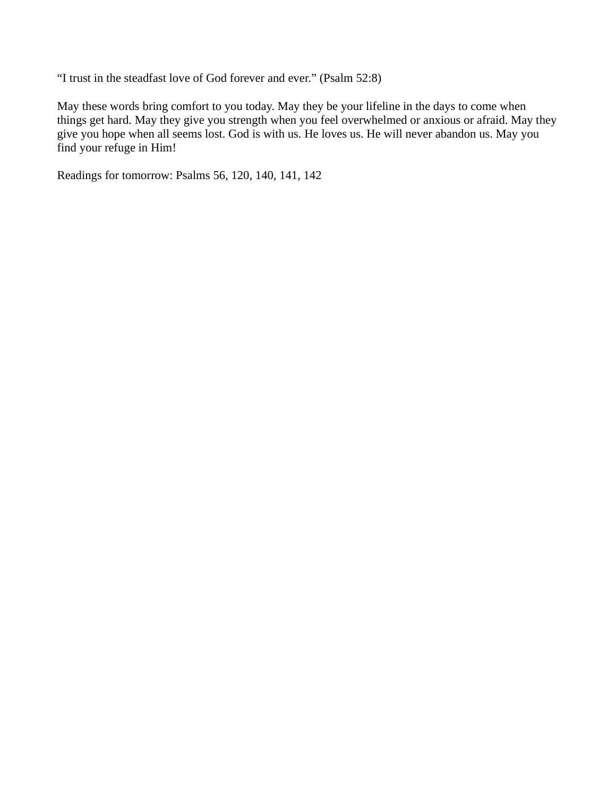"I trust in the steadfast love of God forever and ever." (Psalm 52:8)

May these words bring comfort to you today. May they be your lifeline in the days to come when things get hard. May they give you strength when you feel overwhelmed or anxious or afraid. May they give you hope when all seems lost. God is with us. He loves us. He will never abandon us. May you find your refuge in Him!

Readings for tomorrow: Psalms 56, 120, 140, 141, 142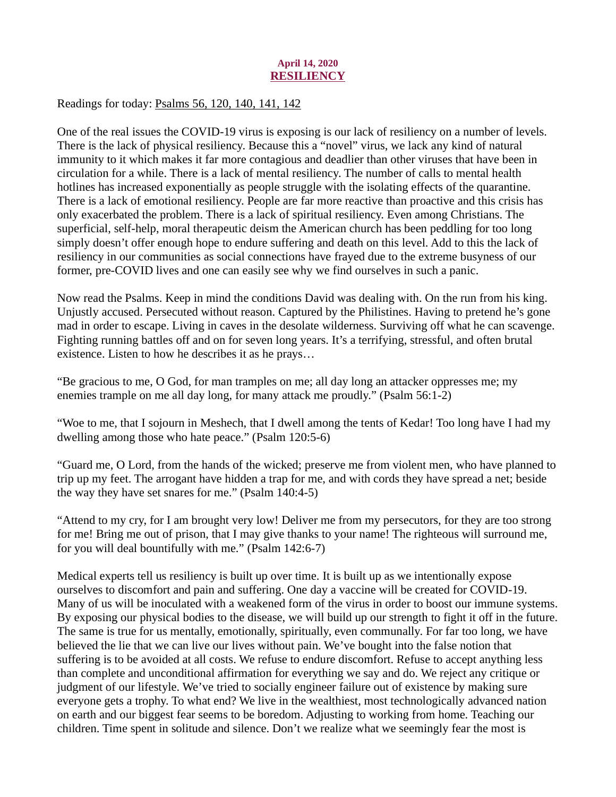## April 14, 2020 **RESILIENCY**

<span id="page-23-0"></span>[Readings for today: Psalms 56, 120, 140, 141, 142](https://www.biblegateway.com/passage/?search=Psalms+56%2C+120%2C+140%2C+141%2C+142&version=ESV)

One of the real issues the COVID-19 virus is exposing is our lack of resiliency on a number of levels. There is the lack of physical resiliency. Because this a "novel" virus, we lack any kind of natural immunity to it which makes it far more contagious and deadlier than other viruses that have been in circulation for a while. There is a lack of mental resiliency. The number of calls to mental health hotlines has increased exponentially as people struggle with the isolating effects of the quarantine. There is a lack of emotional resiliency. People are far more reactive than proactive and this crisis has only exacerbated the problem. There is a lack of spiritual resiliency. Even among Christians. The superficial, self-help, moral therapeutic deism the American church has been peddling for too long simply doesn't offer enough hope to endure suffering and death on this level. Add to this the lack of resiliency in our communities as social connections have frayed due to the extreme busyness of our former, pre-COVID lives and one can easily see why we find ourselves in such a panic.

Now read the Psalms. Keep in mind the conditions David was dealing with. On the run from his king. Unjustly accused. Persecuted without reason. Captured by the Philistines. Having to pretend he's gone mad in order to escape. Living in caves in the desolate wilderness. Surviving off what he can scavenge. Fighting running battles off and on for seven long years. It's a terrifying, stressful, and often brutal existence. Listen to how he describes it as he prays…

"Be gracious to me, O God, for man tramples on me; all day long an attacker oppresses me; my enemies trample on me all day long, for many attack me proudly." (Psalm 56:1-2)

"Woe to me, that I sojourn in Meshech, that I dwell among the tents of Kedar! Too long have I had my dwelling among those who hate peace." (Psalm 120:5-6)

"Guard me, O Lord, from the hands of the wicked; preserve me from violent men, who have planned to trip up my feet. The arrogant have hidden a trap for me, and with cords they have spread a net; beside the way they have set snares for me." (Psalm 140:4-5)

"Attend to my cry, for I am brought very low! Deliver me from my persecutors, for they are too strong for me! Bring me out of prison, that I may give thanks to your name! The righteous will surround me, for you will deal bountifully with me." (Psalm 142:6-7)

Medical experts tell us resiliency is built up over time. It is built up as we intentionally expose ourselves to discomfort and pain and suffering. One day a vaccine will be created for COVID-19. Many of us will be inoculated with a weakened form of the virus in order to boost our immune systems. By exposing our physical bodies to the disease, we will build up our strength to fight it off in the future. The same is true for us mentally, emotionally, spiritually, even communally. For far too long, we have believed the lie that we can live our lives without pain. We've bought into the false notion that suffering is to be avoided at all costs. We refuse to endure discomfort. Refuse to accept anything less than complete and unconditional affirmation for everything we say and do. We reject any critique or judgment of our lifestyle. We've tried to socially engineer failure out of existence by making sure everyone gets a trophy. To what end? We live in the wealthiest, most technologically advanced nation on earth and our biggest fear seems to be boredom. Adjusting to working from home. Teaching our children. Time spent in solitude and silence. Don't we realize what we seemingly fear the most is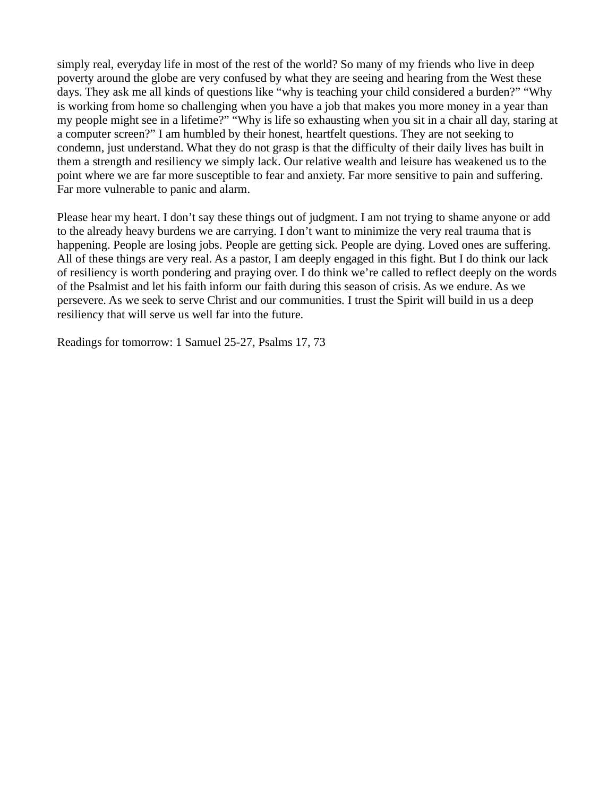simply real, everyday life in most of the rest of the world? So many of my friends who live in deep poverty around the globe are very confused by what they are seeing and hearing from the West these days. They ask me all kinds of questions like "why is teaching your child considered a burden?" "Why is working from home so challenging when you have a job that makes you more money in a year than my people might see in a lifetime?" "Why is life so exhausting when you sit in a chair all day, staring at a computer screen?" I am humbled by their honest, heartfelt questions. They are not seeking to condemn, just understand. What they do not grasp is that the difficulty of their daily lives has built in them a strength and resiliency we simply lack. Our relative wealth and leisure has weakened us to the point where we are far more susceptible to fear and anxiety. Far more sensitive to pain and suffering. Far more vulnerable to panic and alarm.

Please hear my heart. I don't say these things out of judgment. I am not trying to shame anyone or add to the already heavy burdens we are carrying. I don't want to minimize the very real trauma that is happening. People are losing jobs. People are getting sick. People are dying. Loved ones are suffering. All of these things are very real. As a pastor, I am deeply engaged in this fight. But I do think our lack of resiliency is worth pondering and praying over. I do think we're called to reflect deeply on the words of the Psalmist and let his faith inform our faith during this season of crisis. As we endure. As we persevere. As we seek to serve Christ and our communities. I trust the Spirit will build in us a deep resiliency that will serve us well far into the future.

Readings for tomorrow: 1 Samuel 25-27, Psalms 17, 73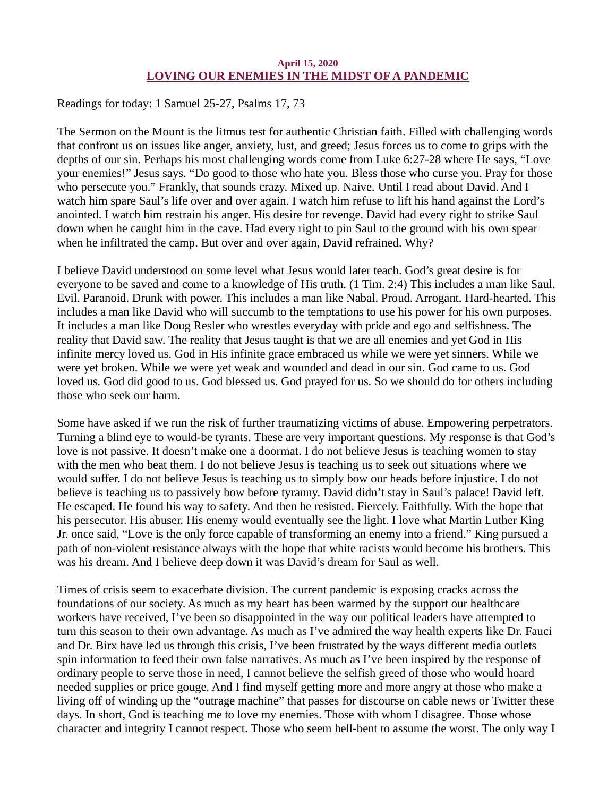## April 15, 2020 LOVING OUR ENEMIES IN THE MIDST OF A PANDEMIC

<span id="page-25-0"></span>[Readings for today: 1 Samuel 25-27, Psalms 17, 73](https://www.biblegateway.com/passage/?search=1+Samuel+25-27%2C+Psalms+17%2C+73&version=ESV)

The Sermon on the Mount is the litmus test for authentic Christian faith. Filled with challenging words that confront us on issues like anger, anxiety, lust, and greed; Jesus forces us to come to grips with the depths of our sin. Perhaps his most challenging words come from Luke 6:27-28 where He says, "Love your enemies!" Jesus says. "Do good to those who hate you. Bless those who curse you. Pray for those who persecute you." Frankly, that sounds crazy. Mixed up. Naive. Until I read about David. And I watch him spare Saul's life over and over again. I watch him refuse to lift his hand against the Lord's anointed. I watch him restrain his anger. His desire for revenge. David had every right to strike Saul down when he caught him in the cave. Had every right to pin Saul to the ground with his own spear when he infiltrated the camp. But over and over again, David refrained. Why?

I believe David understood on some level what Jesus would later teach. God's great desire is for everyone to be saved and come to a knowledge of His truth. (1 Tim. 2:4) This includes a man like Saul. Evil. Paranoid. Drunk with power. This includes a man like Nabal. Proud. Arrogant. Hard-hearted. This includes a man like David who will succumb to the temptations to use his power for his own purposes. It includes a man like Doug Resler who wrestles everyday with pride and ego and selfishness. The reality that David saw. The reality that Jesus taught is that we are all enemies and yet God in His infinite mercy loved us. God in His infinite grace embraced us while we were yet sinners. While we were yet broken. While we were yet weak and wounded and dead in our sin. God came to us. God loved us. God did good to us. God blessed us. God prayed for us. So we should do for others including those who seek our harm.

Some have asked if we run the risk of further traumatizing victims of abuse. Empowering perpetrators. Turning a blind eye to would-be tyrants. These are very important questions. My response is that God's love is not passive. It doesn't make one a doormat. I do not believe Jesus is teaching women to stay with the men who beat them. I do not believe Jesus is teaching us to seek out situations where we would suffer. I do not believe Jesus is teaching us to simply bow our heads before injustice. I do not believe is teaching us to passively bow before tyranny. David didn't stay in Saul's palace! David left. He escaped. He found his way to safety. And then he resisted. Fiercely. Faithfully. With the hope that his persecutor. His abuser. His enemy would eventually see the light. I love what Martin Luther King Jr. once said, "Love is the only force capable of transforming an enemy into a friend." King pursued a path of non-violent resistance always with the hope that white racists would become his brothers. This was his dream. And I believe deep down it was David's dream for Saul as well.

Times of crisis seem to exacerbate division. The current pandemic is exposing cracks across the foundations of our society. As much as my heart has been warmed by the support our healthcare workers have received, I've been so disappointed in the way our political leaders have attempted to turn this season to their own advantage. As much as I've admired the way health experts like Dr. Fauci and Dr. Birx have led us through this crisis, I've been frustrated by the ways different media outlets spin information to feed their own false narratives. As much as I've been inspired by the response of ordinary people to serve those in need, I cannot believe the selfish greed of those who would hoard needed supplies or price gouge. And I find myself getting more and more angry at those who make a living off of winding up the "outrage machine" that passes for discourse on cable news or Twitter these days. In short, God is teaching me to love my enemies. Those with whom I disagree. Those whose character and integrity I cannot respect. Those who seem hell-bent to assume the worst. The only way I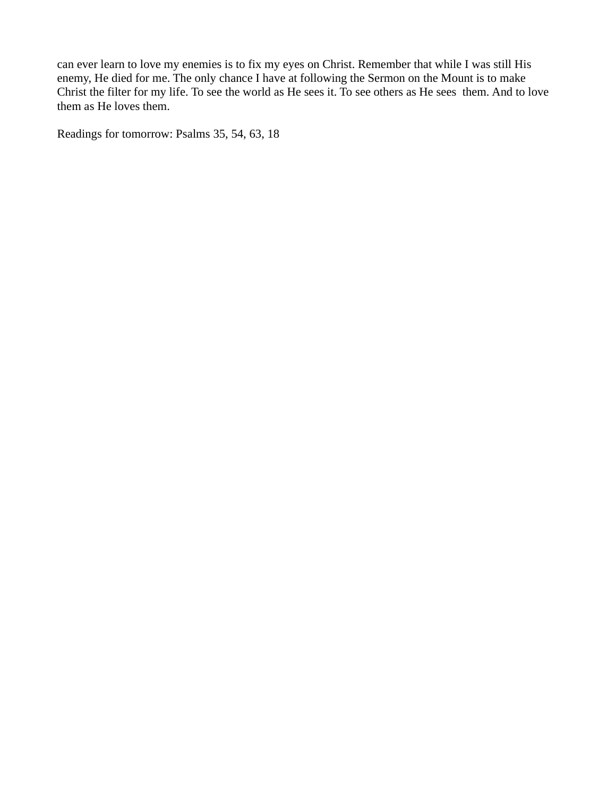can ever learn to love my enemies is to fix my eyes on Christ. Remember that while I was still His enemy, He died for me. The only chance I have at following the Sermon on the Mount is to make Christ the filter for my life. To see the world as He sees it. To see others as He sees them. And to love them as He loves them.

Readings for tomorrow: Psalms 35, 54, 63, 18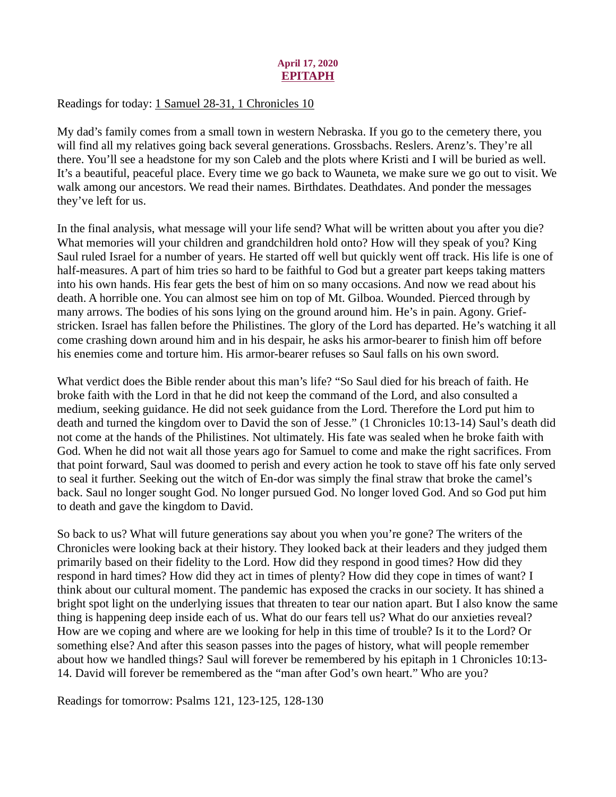# April 17, 2020 EPITAPH

## <span id="page-27-0"></span>[Readings for today: 1 Samuel 28-31, 1 Chronicles 10](https://www.biblegateway.com/passage/?search=1+Samuel+28-31%2C+1+Chronicles+10&version=ESV)

My dad's family comes from a small town in western Nebraska. If you go to the cemetery there, you will find all my relatives going back several generations. Grossbachs. Reslers. Arenz's. They're all there. You'll see a headstone for my son Caleb and the plots where Kristi and I will be buried as well. It's a beautiful, peaceful place. Every time we go back to Wauneta, we make sure we go out to visit. We walk among our ancestors. We read their names. Birthdates. Deathdates. And ponder the messages they've left for us.

In the final analysis, what message will your life send? What will be written about you after you die? What memories will your children and grandchildren hold onto? How will they speak of you? King Saul ruled Israel for a number of years. He started off well but quickly went off track. His life is one of half-measures. A part of him tries so hard to be faithful to God but a greater part keeps taking matters into his own hands. His fear gets the best of him on so many occasions. And now we read about his death. A horrible one. You can almost see him on top of Mt. Gilboa. Wounded. Pierced through by many arrows. The bodies of his sons lying on the ground around him. He's in pain. Agony. Griefstricken. Israel has fallen before the Philistines. The glory of the Lord has departed. He's watching it all come crashing down around him and in his despair, he asks his armor-bearer to finish him off before his enemies come and torture him. His armor-bearer refuses so Saul falls on his own sword.

What verdict does the Bible render about this man's life? "So Saul died for his breach of faith. He broke faith with the Lord in that he did not keep the command of the Lord, and also consulted a medium, seeking guidance. He did not seek guidance from the Lord. Therefore the Lord put him to death and turned the kingdom over to David the son of Jesse." (1 Chronicles 10:13-14) Saul's death did not come at the hands of the Philistines. Not ultimately. His fate was sealed when he broke faith with God. When he did not wait all those years ago for Samuel to come and make the right sacrifices. From that point forward, Saul was doomed to perish and every action he took to stave off his fate only served to seal it further. Seeking out the witch of En-dor was simply the final straw that broke the camel's back. Saul no longer sought God. No longer pursued God. No longer loved God. And so God put him to death and gave the kingdom to David.

So back to us? What will future generations say about you when you're gone? The writers of the Chronicles were looking back at their history. They looked back at their leaders and they judged them primarily based on their fidelity to the Lord. How did they respond in good times? How did they respond in hard times? How did they act in times of plenty? How did they cope in times of want? I think about our cultural moment. The pandemic has exposed the cracks in our society. It has shined a bright spot light on the underlying issues that threaten to tear our nation apart. But I also know the same thing is happening deep inside each of us. What do our fears tell us? What do our anxieties reveal? How are we coping and where are we looking for help in this time of trouble? Is it to the Lord? Or something else? And after this season passes into the pages of history, what will people remember about how we handled things? Saul will forever be remembered by his epitaph in 1 Chronicles 10:13- 14. David will forever be remembered as the "man after God's own heart." Who are you?

Readings for tomorrow: Psalms 121, 123-125, 128-130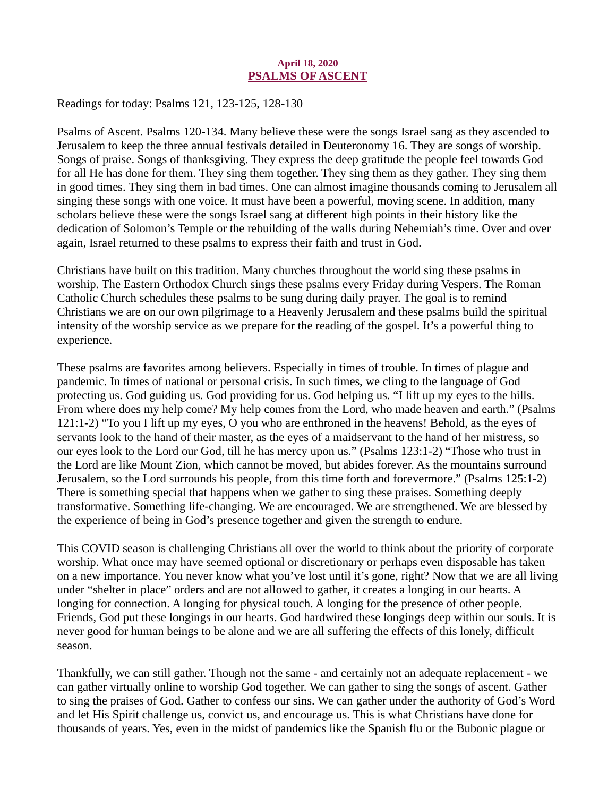#### April 18, 2020 PSALMS OF ASCENT

<span id="page-28-0"></span>[Readings for today: Psalms 121, 123-125, 128-130](https://www.biblegateway.com/passage/?search=Psalms+121%2C+123-125%2C+128-130&version=ESV)

Psalms of Ascent. Psalms 120-134. Many believe these were the songs Israel sang as they ascended to Jerusalem to keep the three annual festivals detailed in Deuteronomy 16. They are songs of worship. Songs of praise. Songs of thanksgiving. They express the deep gratitude the people feel towards God for all He has done for them. They sing them together. They sing them as they gather. They sing them in good times. They sing them in bad times. One can almost imagine thousands coming to Jerusalem all singing these songs with one voice. It must have been a powerful, moving scene. In addition, many scholars believe these were the songs Israel sang at different high points in their history like the dedication of Solomon's Temple or the rebuilding of the walls during Nehemiah's time. Over and over again, Israel returned to these psalms to express their faith and trust in God.

Christians have built on this tradition. Many churches throughout the world sing these psalms in worship. The Eastern Orthodox Church sings these psalms every Friday during Vespers. The Roman Catholic Church schedules these psalms to be sung during daily prayer. The goal is to remind Christians we are on our own pilgrimage to a Heavenly Jerusalem and these psalms build the spiritual intensity of the worship service as we prepare for the reading of the gospel. It's a powerful thing to experience.

These psalms are favorites among believers. Especially in times of trouble. In times of plague and pandemic. In times of national or personal crisis. In such times, we cling to the language of God protecting us. God guiding us. God providing for us. God helping us. "I lift up my eyes to the hills. From where does my help come? My help comes from the Lord, who made heaven and earth." (Psalms 121:1-2) "To you I lift up my eyes, O you who are enthroned in the heavens! Behold, as the eyes of servants look to the hand of their master, as the eyes of a maidservant to the hand of her mistress, so our eyes look to the Lord our God, till he has mercy upon us." (Psalms 123:1-2) "Those who trust in the Lord are like Mount Zion, which cannot be moved, but abides forever. As the mountains surround Jerusalem, so the Lord surrounds his people, from this time forth and forevermore." (Psalms 125:1-2) There is something special that happens when we gather to sing these praises. Something deeply transformative. Something life-changing. We are encouraged. We are strengthened. We are blessed by the experience of being in God's presence together and given the strength to endure.

This COVID season is challenging Christians all over the world to think about the priority of corporate worship. What once may have seemed optional or discretionary or perhaps even disposable has taken on a new importance. You never know what you've lost until it's gone, right? Now that we are all living under "shelter in place" orders and are not allowed to gather, it creates a longing in our hearts. A longing for connection. A longing for physical touch. A longing for the presence of other people. Friends, God put these longings in our hearts. God hardwired these longings deep within our souls. It is never good for human beings to be alone and we are all suffering the effects of this lonely, difficult season.

Thankfully, we can still gather. Though not the same - and certainly not an adequate replacement - we can gather virtually online to worship God together. We can gather to sing the songs of ascent. Gather to sing the praises of God. Gather to confess our sins. We can gather under the authority of God's Word and let His Spirit challenge us, convict us, and encourage us. This is what Christians have done for thousands of years. Yes, even in the midst of pandemics like the Spanish flu or the Bubonic plague or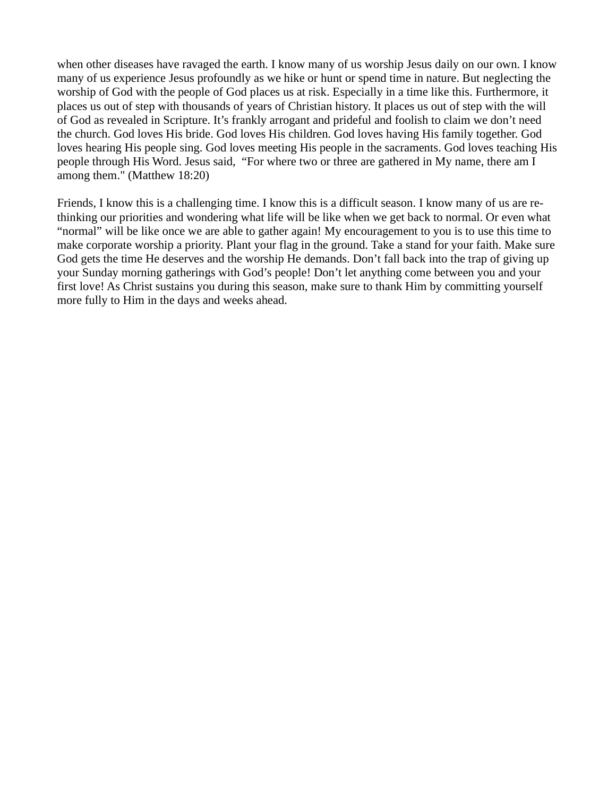when other diseases have ravaged the earth. I know many of us worship Jesus daily on our own. I know many of us experience Jesus profoundly as we hike or hunt or spend time in nature. But neglecting the worship of God with the people of God places us at risk. Especially in a time like this. Furthermore, it places us out of step with thousands of years of Christian history. It places us out of step with the will of God as revealed in Scripture. It's frankly arrogant and prideful and foolish to claim we don't need the church. God loves His bride. God loves His children. God loves having His family together. God loves hearing His people sing. God loves meeting His people in the sacraments. God loves teaching His people through His Word. Jesus said, "For where two or three are gathered in My name, there am I among them." (Matthew 18:20)

Friends, I know this is a challenging time. I know this is a difficult season. I know many of us are rethinking our priorities and wondering what life will be like when we get back to normal. Or even what "normal" will be like once we are able to gather again! My encouragement to you is to use this time to make corporate worship a priority. Plant your flag in the ground. Take a stand for your faith. Make sure God gets the time He deserves and the worship He demands. Don't fall back into the trap of giving up your Sunday morning gatherings with God's people! Don't let anything come between you and your first love! As Christ sustains you during this season, make sure to thank Him by committing yourself more fully to Him in the days and weeks ahead.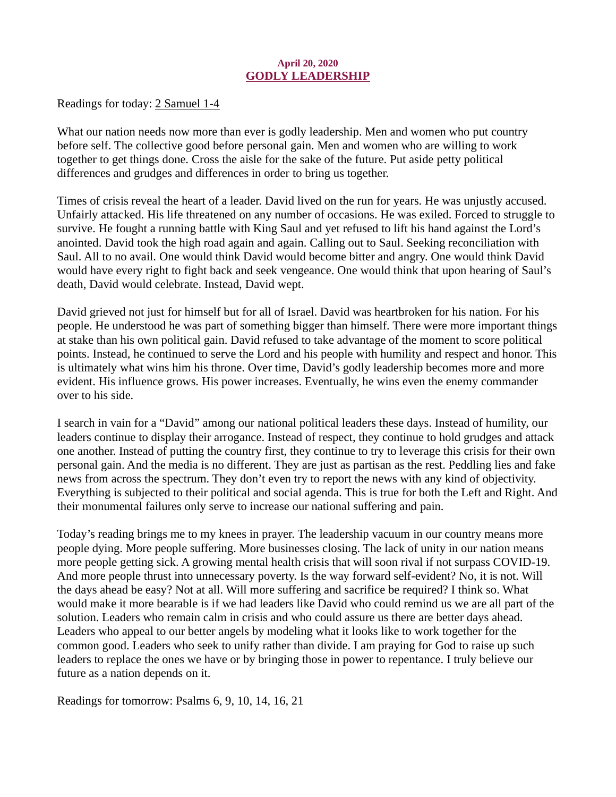#### April 20, 2020 GODLY LEADERSHIP

<span id="page-30-0"></span>[Readings for today: 2 Samuel 1-4](https://www.biblegateway.com/passage/?search=2+Samuel+1-4&version=ESV)

What our nation needs now more than ever is godly leadership. Men and women who put country before self. The collective good before personal gain. Men and women who are willing to work together to get things done. Cross the aisle for the sake of the future. Put aside petty political differences and grudges and differences in order to bring us together.

Times of crisis reveal the heart of a leader. David lived on the run for years. He was unjustly accused. Unfairly attacked. His life threatened on any number of occasions. He was exiled. Forced to struggle to survive. He fought a running battle with King Saul and yet refused to lift his hand against the Lord's anointed. David took the high road again and again. Calling out to Saul. Seeking reconciliation with Saul. All to no avail. One would think David would become bitter and angry. One would think David would have every right to fight back and seek vengeance. One would think that upon hearing of Saul's death, David would celebrate. Instead, David wept.

David grieved not just for himself but for all of Israel. David was heartbroken for his nation. For his people. He understood he was part of something bigger than himself. There were more important things at stake than his own political gain. David refused to take advantage of the moment to score political points. Instead, he continued to serve the Lord and his people with humility and respect and honor. This is ultimately what wins him his throne. Over time, David's godly leadership becomes more and more evident. His influence grows. His power increases. Eventually, he wins even the enemy commander over to his side.

I search in vain for a "David" among our national political leaders these days. Instead of humility, our leaders continue to display their arrogance. Instead of respect, they continue to hold grudges and attack one another. Instead of putting the country first, they continue to try to leverage this crisis for their own personal gain. And the media is no different. They are just as partisan as the rest. Peddling lies and fake news from across the spectrum. They don't even try to report the news with any kind of objectivity. Everything is subjected to their political and social agenda. This is true for both the Left and Right. And their monumental failures only serve to increase our national suffering and pain.

Today's reading brings me to my knees in prayer. The leadership vacuum in our country means more people dying. More people suffering. More businesses closing. The lack of unity in our nation means more people getting sick. A growing mental health crisis that will soon rival if not surpass COVID-19. And more people thrust into unnecessary poverty. Is the way forward self-evident? No, it is not. Will the days ahead be easy? Not at all. Will more suffering and sacrifice be required? I think so. What would make it more bearable is if we had leaders like David who could remind us we are all part of the solution. Leaders who remain calm in crisis and who could assure us there are better days ahead. Leaders who appeal to our better angels by modeling what it looks like to work together for the common good. Leaders who seek to unify rather than divide. I am praying for God to raise up such leaders to replace the ones we have or by bringing those in power to repentance. I truly believe our future as a nation depends on it.

Readings for tomorrow: Psalms 6, 9, 10, 14, 16, 21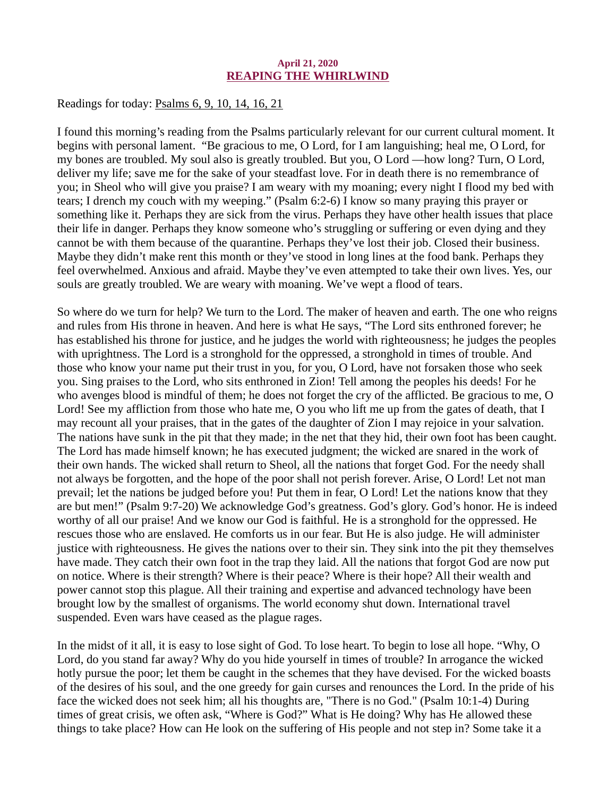#### April 21, 2020 REAPING THE WHIRLWIND

<span id="page-31-0"></span>[Readings for today: Psalms 6, 9, 10, 14, 16, 21](https://www.biblegateway.com/passage/?search=Psalms+6%2C+9%2C+10%2C+14%2C+16%2C+21&version=ESV)

I found this morning's reading from the Psalms particularly relevant for our current cultural moment. It begins with personal lament. "Be gracious to me, O Lord, for I am languishing; heal me, O Lord, for my bones are troubled. My soul also is greatly troubled. But you, O Lord —how long? Turn, O Lord, deliver my life; save me for the sake of your steadfast love. For in death there is no remembrance of you; in Sheol who will give you praise? I am weary with my moaning; every night I flood my bed with tears; I drench my couch with my weeping." (Psalm 6:2-6) I know so many praying this prayer or something like it. Perhaps they are sick from the virus. Perhaps they have other health issues that place their life in danger. Perhaps they know someone who's struggling or suffering or even dying and they cannot be with them because of the quarantine. Perhaps they've lost their job. Closed their business. Maybe they didn't make rent this month or they've stood in long lines at the food bank. Perhaps they feel overwhelmed. Anxious and afraid. Maybe they've even attempted to take their own lives. Yes, our souls are greatly troubled. We are weary with moaning. We've wept a flood of tears.

So where do we turn for help? We turn to the Lord. The maker of heaven and earth. The one who reigns and rules from His throne in heaven. And here is what He says, "The Lord sits enthroned forever; he has established his throne for justice, and he judges the world with righteousness; he judges the peoples with uprightness. The Lord is a stronghold for the oppressed, a stronghold in times of trouble. And those who know your name put their trust in you, for you, O Lord, have not forsaken those who seek you. Sing praises to the Lord, who sits enthroned in Zion! Tell among the peoples his deeds! For he who avenges blood is mindful of them; he does not forget the cry of the afflicted. Be gracious to me, O Lord! See my affliction from those who hate me, O you who lift me up from the gates of death, that I may recount all your praises, that in the gates of the daughter of Zion I may rejoice in your salvation. The nations have sunk in the pit that they made; in the net that they hid, their own foot has been caught. The Lord has made himself known; he has executed judgment; the wicked are snared in the work of their own hands. The wicked shall return to Sheol, all the nations that forget God. For the needy shall not always be forgotten, and the hope of the poor shall not perish forever. Arise, O Lord! Let not man prevail; let the nations be judged before you! Put them in fear, O Lord! Let the nations know that they are but men!" (Psalm 9:7-20) We acknowledge God's greatness. God's glory. God's honor. He is indeed worthy of all our praise! And we know our God is faithful. He is a stronghold for the oppressed. He rescues those who are enslaved. He comforts us in our fear. But He is also judge. He will administer justice with righteousness. He gives the nations over to their sin. They sink into the pit they themselves have made. They catch their own foot in the trap they laid. All the nations that forgot God are now put on notice. Where is their strength? Where is their peace? Where is their hope? All their wealth and power cannot stop this plague. All their training and expertise and advanced technology have been brought low by the smallest of organisms. The world economy shut down. International travel suspended. Even wars have ceased as the plague rages.

In the midst of it all, it is easy to lose sight of God. To lose heart. To begin to lose all hope. "Why, O Lord, do you stand far away? Why do you hide yourself in times of trouble? In arrogance the wicked hotly pursue the poor; let them be caught in the schemes that they have devised. For the wicked boasts of the desires of his soul, and the one greedy for gain curses and renounces the Lord. In the pride of his face the wicked does not seek him; all his thoughts are, "There is no God." (Psalm 10:1-4) During times of great crisis, we often ask, "Where is God?" What is He doing? Why has He allowed these things to take place? How can He look on the suffering of His people and not step in? Some take it a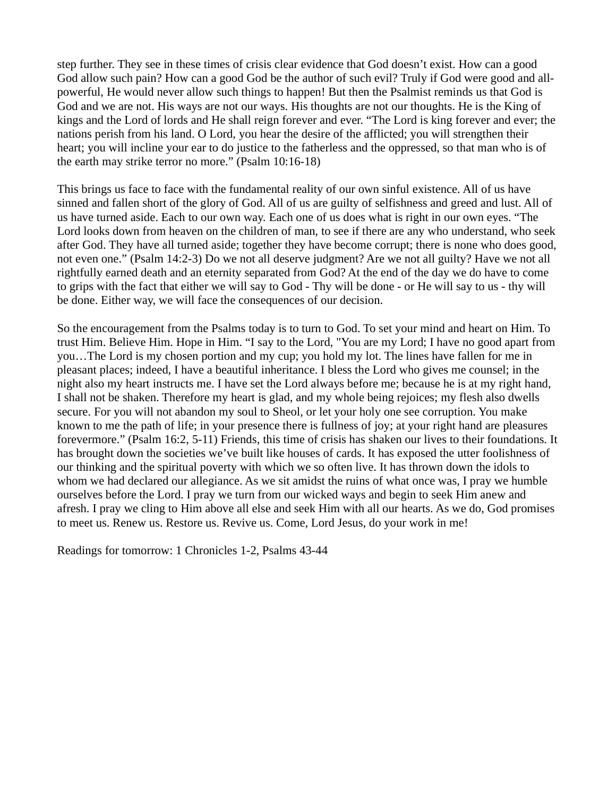step further. They see in these times of crisis clear evidence that God doesn't exist. How can a good God allow such pain? How can a good God be the author of such evil? Truly if God were good and allpowerful, He would never allow such things to happen! But then the Psalmist reminds us that God is God and we are not. His ways are not our ways. His thoughts are not our thoughts. He is the King of kings and the Lord of lords and He shall reign forever and ever. "The Lord is king forever and ever; the nations perish from his land. O Lord, you hear the desire of the afflicted; you will strengthen their heart; you will incline your ear to do justice to the fatherless and the oppressed, so that man who is of the earth may strike terror no more." (Psalm 10:16-18)

This brings us face to face with the fundamental reality of our own sinful existence. All of us have sinned and fallen short of the glory of God. All of us are guilty of selfishness and greed and lust. All of us have turned aside. Each to our own way. Each one of us does what is right in our own eyes. "The Lord looks down from heaven on the children of man, to see if there are any who understand, who seek after God. They have all turned aside; together they have become corrupt; there is none who does good, not even one." (Psalm 14:2-3) Do we not all deserve judgment? Are we not all guilty? Have we not all rightfully earned death and an eternity separated from God? At the end of the day we do have to come to grips with the fact that either we will say to God - Thy will be done - or He will say to us - thy will be done. Either way, we will face the consequences of our decision.

So the encouragement from the Psalms today is to turn to God. To set your mind and heart on Him. To trust Him. Believe Him. Hope in Him. "I say to the Lord, "You are my Lord; I have no good apart from you…The Lord is my chosen portion and my cup; you hold my lot. The lines have fallen for me in pleasant places; indeed, I have a beautiful inheritance. I bless the Lord who gives me counsel; in the night also my heart instructs me. I have set the Lord always before me; because he is at my right hand, I shall not be shaken. Therefore my heart is glad, and my whole being rejoices; my flesh also dwells secure. For you will not abandon my soul to Sheol, or let your holy one see corruption. You make known to me the path of life; in your presence there is fullness of joy; at your right hand are pleasures forevermore." (Psalm 16:2, 5-11) Friends, this time of crisis has shaken our lives to their foundations. It has brought down the societies we've built like houses of cards. It has exposed the utter foolishness of our thinking and the spiritual poverty with which we so often live. It has thrown down the idols to whom we had declared our allegiance. As we sit amidst the ruins of what once was, I pray we humble ourselves before the Lord. I pray we turn from our wicked ways and begin to seek Him anew and afresh. I pray we cling to Him above all else and seek Him with all our hearts. As we do, God promises to meet us. Renew us. Restore us. Revive us. Come, Lord Jesus, do your work in me!

Readings for tomorrow: 1 Chronicles 1-2, Psalms 43-44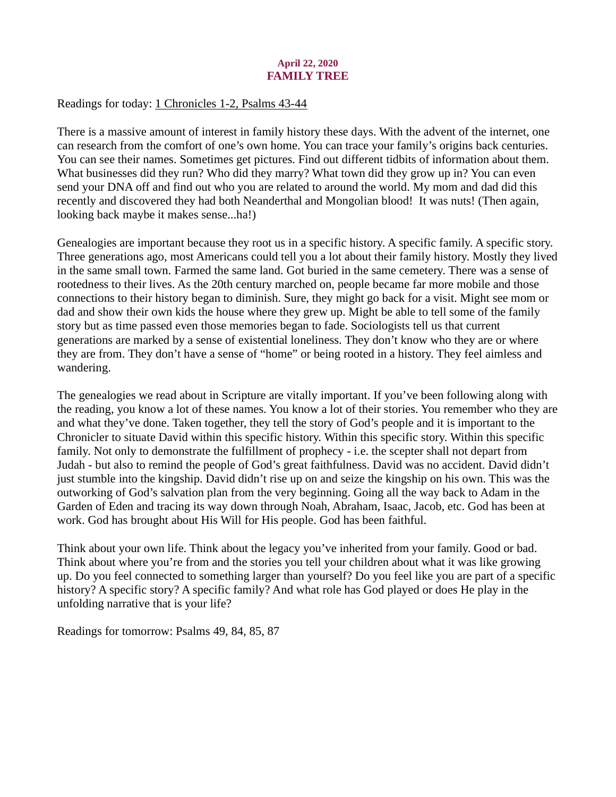# April 22, 2020 FAMILY TREE

## <span id="page-33-0"></span>[Readings for today: 1 Chronicles 1-2, Psalms 43-44](https://www.biblegateway.com/passage/?search=1+Chronicles+1-2%2C+Psalms+43-44&version=ESV)

There is a massive amount of interest in family history these days. With the advent of the internet, one can research from the comfort of one's own home. You can trace your family's origins back centuries. You can see their names. Sometimes get pictures. Find out different tidbits of information about them. What businesses did they run? Who did they marry? What town did they grow up in? You can even send your DNA off and find out who you are related to around the world. My mom and dad did this recently and discovered they had both Neanderthal and Mongolian blood! It was nuts! (Then again, looking back maybe it makes sense...ha!)

Genealogies are important because they root us in a specific history. A specific family. A specific story. Three generations ago, most Americans could tell you a lot about their family history. Mostly they lived in the same small town. Farmed the same land. Got buried in the same cemetery. There was a sense of rootedness to their lives. As the 20th century marched on, people became far more mobile and those connections to their history began to diminish. Sure, they might go back for a visit. Might see mom or dad and show their own kids the house where they grew up. Might be able to tell some of the family story but as time passed even those memories began to fade. Sociologists tell us that current generations are marked by a sense of existential loneliness. They don't know who they are or where they are from. They don't have a sense of "home" or being rooted in a history. They feel aimless and wandering.

The genealogies we read about in Scripture are vitally important. If you've been following along with the reading, you know a lot of these names. You know a lot of their stories. You remember who they are and what they've done. Taken together, they tell the story of God's people and it is important to the Chronicler to situate David within this specific history. Within this specific story. Within this specific family. Not only to demonstrate the fulfillment of prophecy - i.e. the scepter shall not depart from Judah - but also to remind the people of God's great faithfulness. David was no accident. David didn't just stumble into the kingship. David didn't rise up on and seize the kingship on his own. This was the outworking of God's salvation plan from the very beginning. Going all the way back to Adam in the Garden of Eden and tracing its way down through Noah, Abraham, Isaac, Jacob, etc. God has been at work. God has brought about His Will for His people. God has been faithful.

Think about your own life. Think about the legacy you've inherited from your family. Good or bad. Think about where you're from and the stories you tell your children about what it was like growing up. Do you feel connected to something larger than yourself? Do you feel like you are part of a specific history? A specific story? A specific family? And what role has God played or does He play in the unfolding narrative that is your life?

Readings for tomorrow: Psalms 49, 84, 85, 87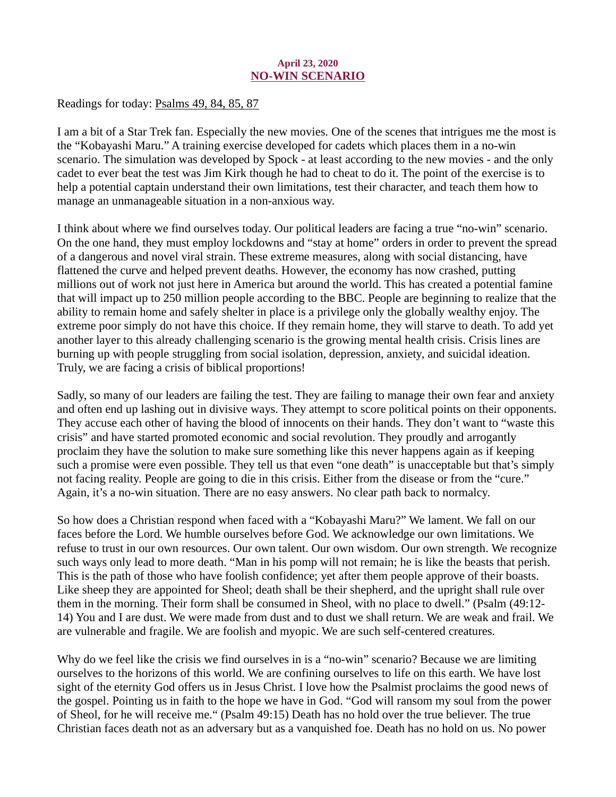## April 23, 2020 NO-WIN SCENARIO

<span id="page-34-0"></span>[Readings for today: Psalms 49, 84, 85, 87](https://www.biblegateway.com/passage/?search=Psalms+49%2C+84%2C+85%2C+87&version=ESV)

I am a bit of a Star Trek fan. Especially the new movies. One of the scenes that intrigues me the most is the "Kobayashi Maru." A training exercise developed for cadets which places them in a no-win scenario. The simulation was developed by Spock - at least according to the new movies - and the only cadet to ever beat the test was Jim Kirk though he had to cheat to do it. The point of the exercise is to help a potential captain understand their own limitations, test their character, and teach them how to manage an unmanageable situation in a non-anxious way.

I think about where we find ourselves today. Our political leaders are facing a true "no-win" scenario. On the one hand, they must employ lockdowns and "stay at home" orders in order to prevent the spread of a dangerous and novel viral strain. These extreme measures, along with social distancing, have flattened the curve and helped prevent deaths. However, the economy has now crashed, putting millions out of work not just here in America but around the world. This has created a potential famine that will impact up to 250 million people according to the BBC. People are beginning to realize that the ability to remain home and safely shelter in place is a privilege only the globally wealthy enjoy. The extreme poor simply do not have this choice. If they remain home, they will starve to death. To add yet another layer to this already challenging scenario is the growing mental health crisis. Crisis lines are burning up with people struggling from social isolation, depression, anxiety, and suicidal ideation. Truly, we are facing a crisis of biblical proportions!

Sadly, so many of our leaders are failing the test. They are failing to manage their own fear and anxiety and often end up lashing out in divisive ways. They attempt to score political points on their opponents. They accuse each other of having the blood of innocents on their hands. They don't want to "waste this crisis" and have started promoted economic and social revolution. They proudly and arrogantly proclaim they have the solution to make sure something like this never happens again as if keeping such a promise were even possible. They tell us that even "one death" is unacceptable but that's simply not facing reality. People are going to die in this crisis. Either from the disease or from the "cure." Again, it's a no-win situation. There are no easy answers. No clear path back to normalcy.

So how does a Christian respond when faced with a "Kobayashi Maru?" We lament. We fall on our faces before the Lord. We humble ourselves before God. We acknowledge our own limitations. We refuse to trust in our own resources. Our own talent. Our own wisdom. Our own strength. We recognize such ways only lead to more death. "Man in his pomp will not remain; he is like the beasts that perish. This is the path of those who have foolish confidence; yet after them people approve of their boasts. Like sheep they are appointed for Sheol; death shall be their shepherd, and the upright shall rule over them in the morning. Their form shall be consumed in Sheol, with no place to dwell." (Psalm (49:12- 14) You and I are dust. We were made from dust and to dust we shall return. We are weak and frail. We are vulnerable and fragile. We are foolish and myopic. We are such self-centered creatures.

Why do we feel like the crisis we find ourselves in is a "no-win" scenario? Because we are limiting ourselves to the horizons of this world. We are confining ourselves to life on this earth. We have lost sight of the eternity God offers us in Jesus Christ. I love how the Psalmist proclaims the good news of the gospel. Pointing us in faith to the hope we have in God. "God will ransom my soul from the power of Sheol, for he will receive me." (Psalm 49:15) Death has no hold over the true believer. The true Christian faces death not as an adversary but as a vanquished foe. Death has no hold on us. No power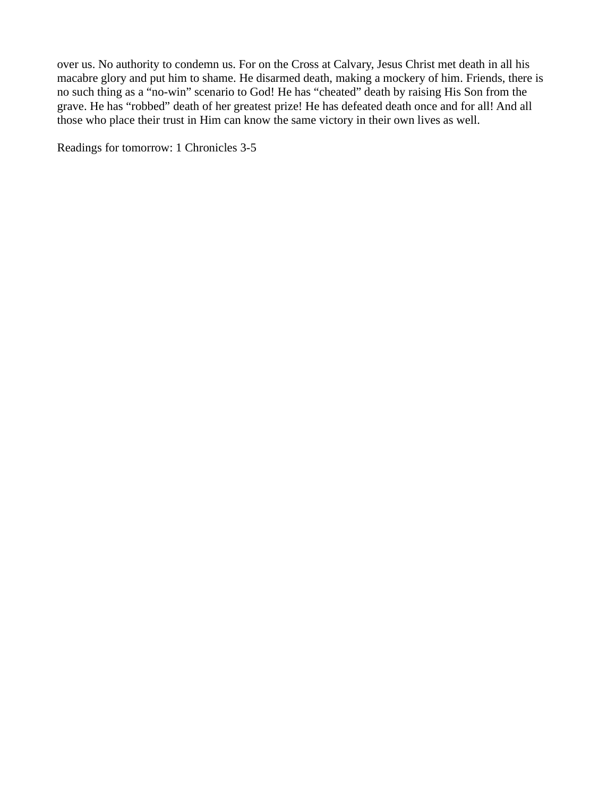over us. No authority to condemn us. For on the Cross at Calvary, Jesus Christ met death in all his macabre glory and put him to shame. He disarmed death, making a mockery of him. Friends, there is no such thing as a "no-win" scenario to God! He has "cheated" death by raising His Son from the grave. He has "robbed" death of her greatest prize! He has defeated death once and for all! And all those who place their trust in Him can know the same victory in their own lives as well.

Readings for tomorrow: 1 Chronicles 3-5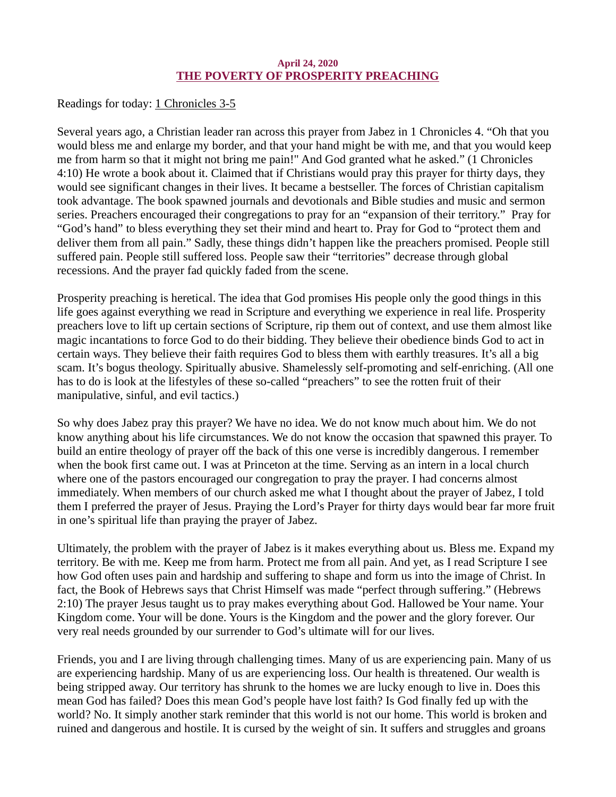## April 24, 2020 THE POVERTY OF PROSPERITY PREACHING

<span id="page-36-0"></span>[Readings for today: 1 Chronicles 3-5](https://www.biblegateway.com/passage/?search=1+Chronicles+3-5&version=ESV)

Several years ago, a Christian leader ran across this prayer from Jabez in 1 Chronicles 4. "Oh that you would bless me and enlarge my border, and that your hand might be with me, and that you would keep me from harm so that it might not bring me pain!" And God granted what he asked." (1 Chronicles 4:10) He wrote a book about it. Claimed that if Christians would pray this prayer for thirty days, they would see significant changes in their lives. It became a bestseller. The forces of Christian capitalism took advantage. The book spawned journals and devotionals and Bible studies and music and sermon series. Preachers encouraged their congregations to pray for an "expansion of their territory." Pray for "God's hand" to bless everything they set their mind and heart to. Pray for God to "protect them and deliver them from all pain." Sadly, these things didn't happen like the preachers promised. People still suffered pain. People still suffered loss. People saw their "territories" decrease through global recessions. And the prayer fad quickly faded from the scene.

Prosperity preaching is heretical. The idea that God promises His people only the good things in this life goes against everything we read in Scripture and everything we experience in real life. Prosperity preachers love to lift up certain sections of Scripture, rip them out of context, and use them almost like magic incantations to force God to do their bidding. They believe their obedience binds God to act in certain ways. They believe their faith requires God to bless them with earthly treasures. It's all a big scam. It's bogus theology. Spiritually abusive. Shamelessly self-promoting and self-enriching. (All one has to do is look at the lifestyles of these so-called "preachers" to see the rotten fruit of their manipulative, sinful, and evil tactics.)

So why does Jabez pray this prayer? We have no idea. We do not know much about him. We do not know anything about his life circumstances. We do not know the occasion that spawned this prayer. To build an entire theology of prayer off the back of this one verse is incredibly dangerous. I remember when the book first came out. I was at Princeton at the time. Serving as an intern in a local church where one of the pastors encouraged our congregation to pray the prayer. I had concerns almost immediately. When members of our church asked me what I thought about the prayer of Jabez, I told them I preferred the prayer of Jesus. Praying the Lord's Prayer for thirty days would bear far more fruit in one's spiritual life than praying the prayer of Jabez.

Ultimately, the problem with the prayer of Jabez is it makes everything about us. Bless me. Expand my territory. Be with me. Keep me from harm. Protect me from all pain. And yet, as I read Scripture I see how God often uses pain and hardship and suffering to shape and form us into the image of Christ. In fact, the Book of Hebrews says that Christ Himself was made "perfect through suffering." (Hebrews 2:10) The prayer Jesus taught us to pray makes everything about God. Hallowed be Your name. Your Kingdom come. Your will be done. Yours is the Kingdom and the power and the glory forever. Our very real needs grounded by our surrender to God's ultimate will for our lives.

Friends, you and I are living through challenging times. Many of us are experiencing pain. Many of us are experiencing hardship. Many of us are experiencing loss. Our health is threatened. Our wealth is being stripped away. Our territory has shrunk to the homes we are lucky enough to live in. Does this mean God has failed? Does this mean God's people have lost faith? Is God finally fed up with the world? No. It simply another stark reminder that this world is not our home. This world is broken and ruined and dangerous and hostile. It is cursed by the weight of sin. It suffers and struggles and groans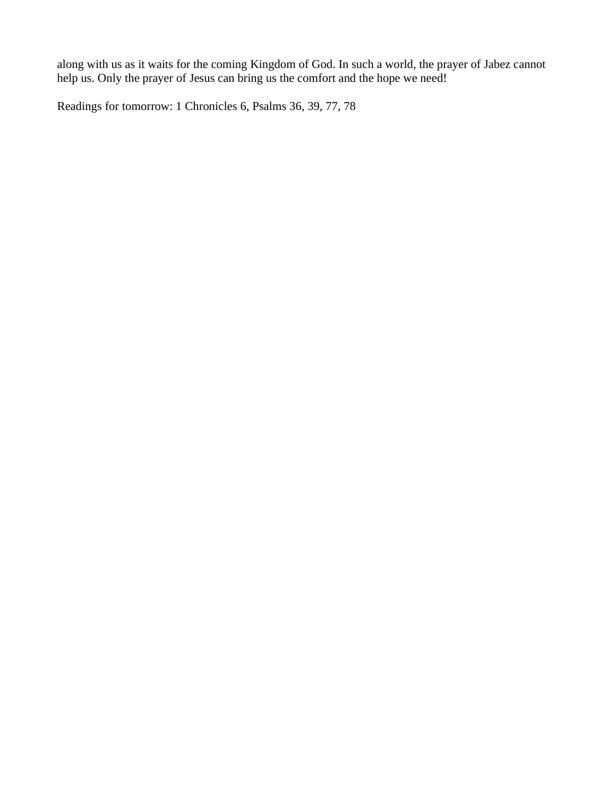along with us as it waits for the coming Kingdom of God. In such a world, the prayer of Jabez cannot help us. Only the prayer of Jesus can bring us the comfort and the hope we need!

Readings for tomorrow: 1 Chronicles 6, Psalms 36, 39, 77, 78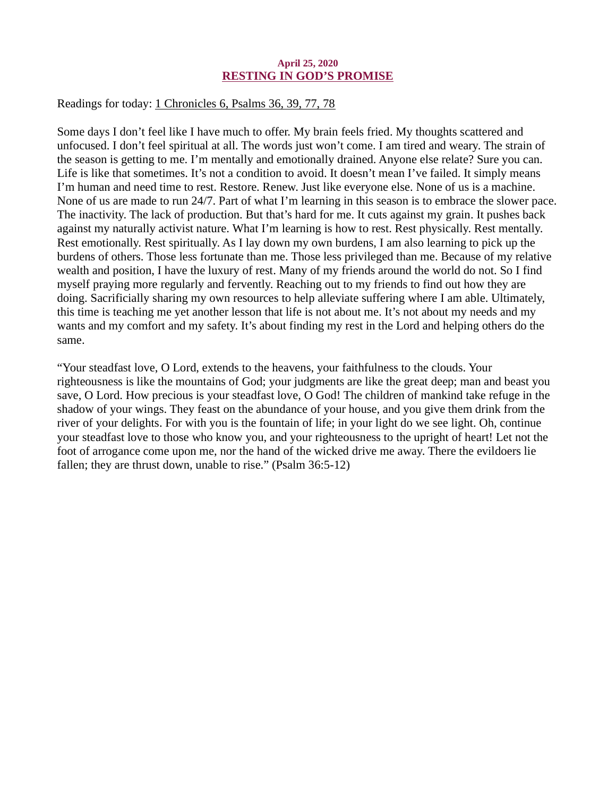#### April 25, 2020 RESTING IN GOD'S PROMISE

<span id="page-38-0"></span>[Readings for today: 1 Chronicles 6, Psalms 36, 39, 77, 78](https://www.biblegateway.com/passage/?search=1+Chronicles+6%2C+Psalms+36%2C+39%2C+77%2C+78&version=ESV)

Some days I don't feel like I have much to offer. My brain feels fried. My thoughts scattered and unfocused. I don't feel spiritual at all. The words just won't come. I am tired and weary. The strain of the season is getting to me. I'm mentally and emotionally drained. Anyone else relate? Sure you can. Life is like that sometimes. It's not a condition to avoid. It doesn't mean I've failed. It simply means I'm human and need time to rest. Restore. Renew. Just like everyone else. None of us is a machine. None of us are made to run 24/7. Part of what I'm learning in this season is to embrace the slower pace. The inactivity. The lack of production. But that's hard for me. It cuts against my grain. It pushes back against my naturally activist nature. What I'm learning is how to rest. Rest physically. Rest mentally. Rest emotionally. Rest spiritually. As I lay down my own burdens, I am also learning to pick up the burdens of others. Those less fortunate than me. Those less privileged than me. Because of my relative wealth and position, I have the luxury of rest. Many of my friends around the world do not. So I find myself praying more regularly and fervently. Reaching out to my friends to find out how they are doing. Sacrificially sharing my own resources to help alleviate suffering where I am able. Ultimately, this time is teaching me yet another lesson that life is not about me. It's not about my needs and my wants and my comfort and my safety. It's about finding my rest in the Lord and helping others do the same.

"Your steadfast love, O Lord, extends to the heavens, your faithfulness to the clouds. Your righteousness is like the mountains of God; your judgments are like the great deep; man and beast you save, O Lord. How precious is your steadfast love, O God! The children of mankind take refuge in the shadow of your wings. They feast on the abundance of your house, and you give them drink from the river of your delights. For with you is the fountain of life; in your light do we see light. Oh, continue your steadfast love to those who know you, and your righteousness to the upright of heart! Let not the foot of arrogance come upon me, nor the hand of the wicked drive me away. There the evildoers lie fallen; they are thrust down, unable to rise." (Psalm 36:5-12)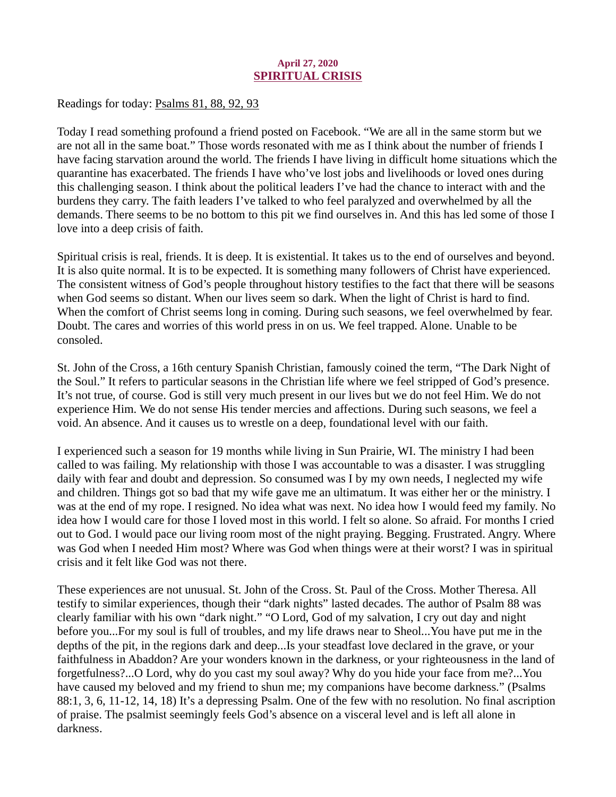# April 27, 2020 SPIRITUAL CRISIS

<span id="page-39-0"></span>[Readings for today: Psalms 81, 88, 92, 93](https://www.biblegateway.com/passage/?search=Psalms+81%2C+88%2C+92%2C+93&version=ESV)

Today I read something profound a friend posted on Facebook. "We are all in the same storm but we are not all in the same boat." Those words resonated with me as I think about the number of friends I have facing starvation around the world. The friends I have living in difficult home situations which the quarantine has exacerbated. The friends I have who've lost jobs and livelihoods or loved ones during this challenging season. I think about the political leaders I've had the chance to interact with and the burdens they carry. The faith leaders I've talked to who feel paralyzed and overwhelmed by all the demands. There seems to be no bottom to this pit we find ourselves in. And this has led some of those I love into a deep crisis of faith.

Spiritual crisis is real, friends. It is deep. It is existential. It takes us to the end of ourselves and beyond. It is also quite normal. It is to be expected. It is something many followers of Christ have experienced. The consistent witness of God's people throughout history testifies to the fact that there will be seasons when God seems so distant. When our lives seem so dark. When the light of Christ is hard to find. When the comfort of Christ seems long in coming. During such seasons, we feel overwhelmed by fear. Doubt. The cares and worries of this world press in on us. We feel trapped. Alone. Unable to be consoled.

St. John of the Cross, a 16th century Spanish Christian, famously coined the term, "The Dark Night of the Soul." It refers to particular seasons in the Christian life where we feel stripped of God's presence. It's not true, of course. God is still very much present in our lives but we do not feel Him. We do not experience Him. We do not sense His tender mercies and affections. During such seasons, we feel a void. An absence. And it causes us to wrestle on a deep, foundational level with our faith.

I experienced such a season for 19 months while living in Sun Prairie, WI. The ministry I had been called to was failing. My relationship with those I was accountable to was a disaster. I was struggling daily with fear and doubt and depression. So consumed was I by my own needs, I neglected my wife and children. Things got so bad that my wife gave me an ultimatum. It was either her or the ministry. I was at the end of my rope. I resigned. No idea what was next. No idea how I would feed my family. No idea how I would care for those I loved most in this world. I felt so alone. So afraid. For months I cried out to God. I would pace our living room most of the night praying. Begging. Frustrated. Angry. Where was God when I needed Him most? Where was God when things were at their worst? I was in spiritual crisis and it felt like God was not there.

These experiences are not unusual. St. John of the Cross. St. Paul of the Cross. Mother Theresa. All testify to similar experiences, though their "dark nights" lasted decades. The author of Psalm 88 was clearly familiar with his own "dark night." "O Lord, God of my salvation, I cry out day and night before you...For my soul is full of troubles, and my life draws near to Sheol...You have put me in the depths of the pit, in the regions dark and deep...Is your steadfast love declared in the grave, or your faithfulness in Abaddon? Are your wonders known in the darkness, or your righteousness in the land of forgetfulness?...O Lord, why do you cast my soul away? Why do you hide your face from me?...You have caused my beloved and my friend to shun me; my companions have become darkness." (Psalms 88:1, 3, 6, 11-12, 14, 18) It's a depressing Psalm. One of the few with no resolution. No final ascription of praise. The psalmist seemingly feels God's absence on a visceral level and is left all alone in darkness.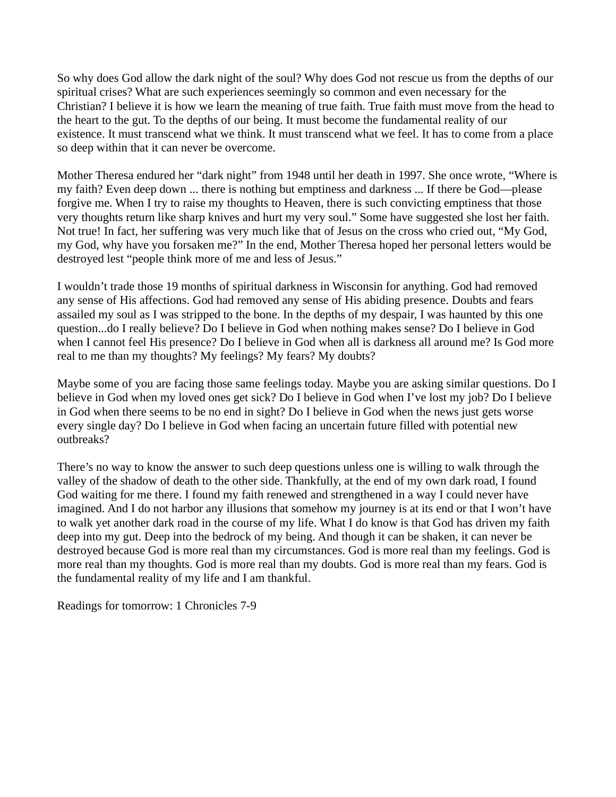So why does God allow the dark night of the soul? Why does God not rescue us from the depths of our spiritual crises? What are such experiences seemingly so common and even necessary for the Christian? I believe it is how we learn the meaning of true faith. True faith must move from the head to the heart to the gut. To the depths of our being. It must become the fundamental reality of our existence. It must transcend what we think. It must transcend what we feel. It has to come from a place so deep within that it can never be overcome.

Mother Theresa endured her "dark night" from 1948 until her death in 1997. She once wrote, "Where is my faith? Even deep down ... there is nothing but emptiness and darkness ... If there be God—please forgive me. When I try to raise my thoughts to Heaven, there is such convicting emptiness that those very thoughts return like sharp knives and hurt my very soul." Some have suggested she lost her faith. Not true! In fact, her suffering was very much like that of Jesus on the cross who cried out, "My God, my God, why have you forsaken me?" In the end, Mother Theresa hoped her personal letters would be destroyed lest "people think more of me and less of Jesus."

I wouldn't trade those 19 months of spiritual darkness in Wisconsin for anything. God had removed any sense of His affections. God had removed any sense of His abiding presence. Doubts and fears assailed my soul as I was stripped to the bone. In the depths of my despair, I was haunted by this one question...do I really believe? Do I believe in God when nothing makes sense? Do I believe in God when I cannot feel His presence? Do I believe in God when all is darkness all around me? Is God more real to me than my thoughts? My feelings? My fears? My doubts?

Maybe some of you are facing those same feelings today. Maybe you are asking similar questions. Do I believe in God when my loved ones get sick? Do I believe in God when I've lost my job? Do I believe in God when there seems to be no end in sight? Do I believe in God when the news just gets worse every single day? Do I believe in God when facing an uncertain future filled with potential new outbreaks?

There's no way to know the answer to such deep questions unless one is willing to walk through the valley of the shadow of death to the other side. Thankfully, at the end of my own dark road, I found God waiting for me there. I found my faith renewed and strengthened in a way I could never have imagined. And I do not harbor any illusions that somehow my journey is at its end or that I won't have to walk yet another dark road in the course of my life. What I do know is that God has driven my faith deep into my gut. Deep into the bedrock of my being. And though it can be shaken, it can never be destroyed because God is more real than my circumstances. God is more real than my feelings. God is more real than my thoughts. God is more real than my doubts. God is more real than my fears. God is the fundamental reality of my life and I am thankful.

Readings for tomorrow: 1 Chronicles 7-9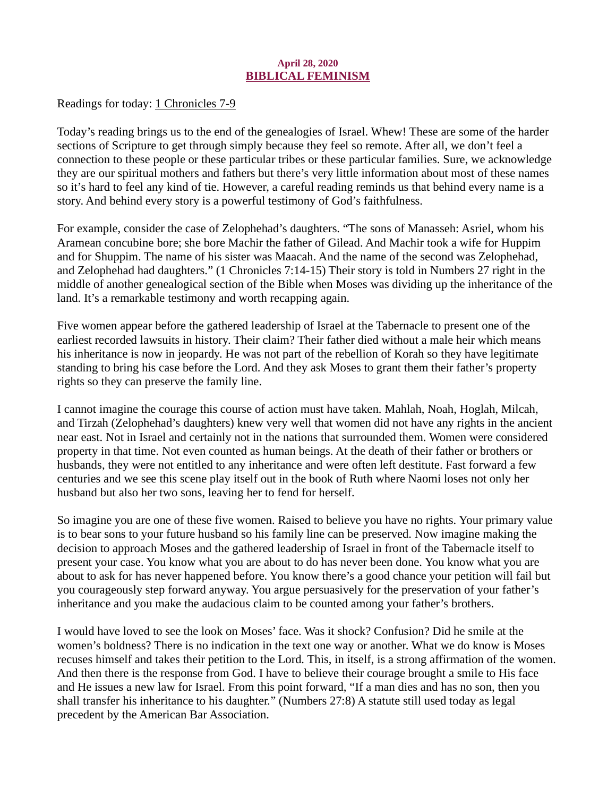## April 28, 2020 BIBLICAL FEMINISM

<span id="page-41-0"></span>[Readings for today: 1 Chronicles 7-9](https://www.biblegateway.com/passage/?search=1+Chronicles+7-9&version=ESV)

Today's reading brings us to the end of the genealogies of Israel. Whew! These are some of the harder sections of Scripture to get through simply because they feel so remote. After all, we don't feel a connection to these people or these particular tribes or these particular families. Sure, we acknowledge they are our spiritual mothers and fathers but there's very little information about most of these names so it's hard to feel any kind of tie. However, a careful reading reminds us that behind every name is a story. And behind every story is a powerful testimony of God's faithfulness.

For example, consider the case of Zelophehad's daughters. "The sons of Manasseh: Asriel, whom his Aramean concubine bore; she bore Machir the father of Gilead. And Machir took a wife for Huppim and for Shuppim. The name of his sister was Maacah. And the name of the second was Zelophehad, and Zelophehad had daughters." (1 Chronicles 7:14-15) Their story is told in Numbers 27 right in the middle of another genealogical section of the Bible when Moses was dividing up the inheritance of the land. It's a remarkable testimony and worth recapping again.

Five women appear before the gathered leadership of Israel at the Tabernacle to present one of the earliest recorded lawsuits in history. Their claim? Their father died without a male heir which means his inheritance is now in jeopardy. He was not part of the rebellion of Korah so they have legitimate standing to bring his case before the Lord. And they ask Moses to grant them their father's property rights so they can preserve the family line.

I cannot imagine the courage this course of action must have taken. Mahlah, Noah, Hoglah, Milcah, and Tirzah (Zelophehad's daughters) knew very well that women did not have any rights in the ancient near east. Not in Israel and certainly not in the nations that surrounded them. Women were considered property in that time. Not even counted as human beings. At the death of their father or brothers or husbands, they were not entitled to any inheritance and were often left destitute. Fast forward a few centuries and we see this scene play itself out in the book of Ruth where Naomi loses not only her husband but also her two sons, leaving her to fend for herself.

So imagine you are one of these five women. Raised to believe you have no rights. Your primary value is to bear sons to your future husband so his family line can be preserved. Now imagine making the decision to approach Moses and the gathered leadership of Israel in front of the Tabernacle itself to present your case. You know what you are about to do has never been done. You know what you are about to ask for has never happened before. You know there's a good chance your petition will fail but you courageously step forward anyway. You argue persuasively for the preservation of your father's inheritance and you make the audacious claim to be counted among your father's brothers.

I would have loved to see the look on Moses' face. Was it shock? Confusion? Did he smile at the women's boldness? There is no indication in the text one way or another. What we do know is Moses recuses himself and takes their petition to the Lord. This, in itself, is a strong affirmation of the women. And then there is the response from God. I have to believe their courage brought a smile to His face and He issues a new law for Israel. From this point forward, "If a man dies and has no son, then you shall transfer his inheritance to his daughter." (Numbers 27:8) A statute still used today as legal precedent by the American Bar Association.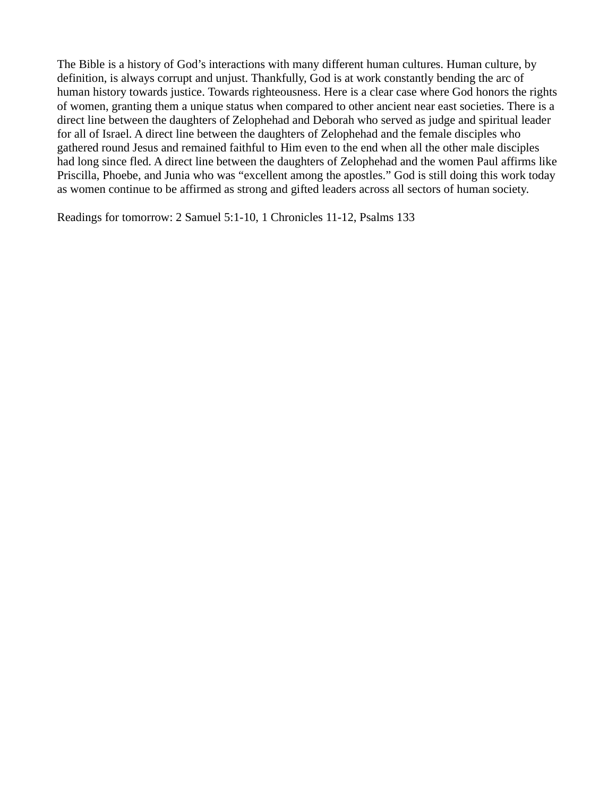The Bible is a history of God's interactions with many different human cultures. Human culture, by definition, is always corrupt and unjust. Thankfully, God is at work constantly bending the arc of human history towards justice. Towards righteousness. Here is a clear case where God honors the rights of women, granting them a unique status when compared to other ancient near east societies. There is a direct line between the daughters of Zelophehad and Deborah who served as judge and spiritual leader for all of Israel. A direct line between the daughters of Zelophehad and the female disciples who gathered round Jesus and remained faithful to Him even to the end when all the other male disciples had long since fled. A direct line between the daughters of Zelophehad and the women Paul affirms like Priscilla, Phoebe, and Junia who was "excellent among the apostles." God is still doing this work today as women continue to be affirmed as strong and gifted leaders across all sectors of human society.

Readings for tomorrow: 2 Samuel 5:1-10, 1 Chronicles 11-12, Psalms 133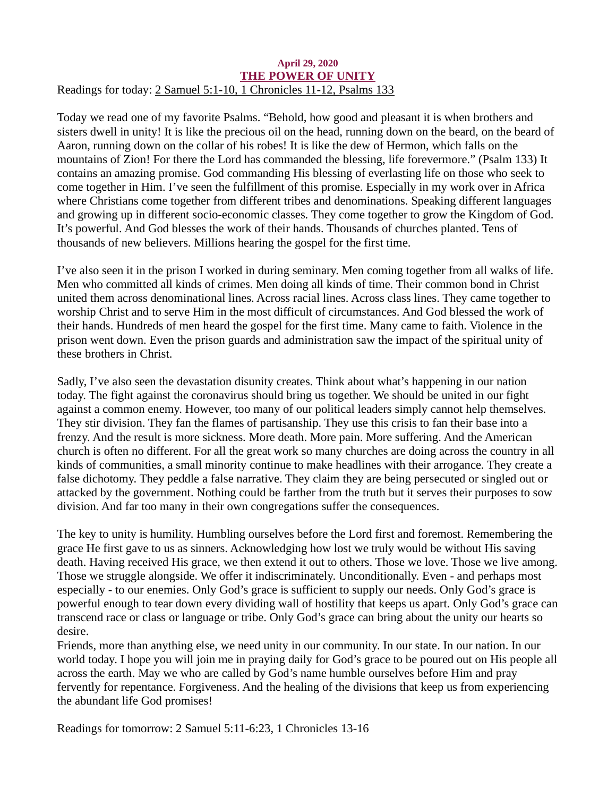#### <span id="page-43-0"></span>April 29, 2020 THE POWER OF UNITY [Readings for today: 2 Samuel 5:1-10, 1 Chronicles 11-12, Psalms 133](https://www.biblegateway.com/passage/?search=2+Samuel+5%3A1-10%2C+1+Chronicles+11-12%2C+Psalms+133&version=ESV)

Today we read one of my favorite Psalms. "Behold, how good and pleasant it is when brothers and sisters dwell in unity! It is like the precious oil on the head, running down on the beard, on the beard of Aaron, running down on the collar of his robes! It is like the dew of Hermon, which falls on the mountains of Zion! For there the Lord has commanded the blessing, life forevermore." (Psalm 133) It contains an amazing promise. God commanding His blessing of everlasting life on those who seek to come together in Him. I've seen the fulfillment of this promise. Especially in my work over in Africa where Christians come together from different tribes and denominations. Speaking different languages and growing up in different socio-economic classes. They come together to grow the Kingdom of God. It's powerful. And God blesses the work of their hands. Thousands of churches planted. Tens of thousands of new believers. Millions hearing the gospel for the first time.

I've also seen it in the prison I worked in during seminary. Men coming together from all walks of life. Men who committed all kinds of crimes. Men doing all kinds of time. Their common bond in Christ united them across denominational lines. Across racial lines. Across class lines. They came together to worship Christ and to serve Him in the most difficult of circumstances. And God blessed the work of their hands. Hundreds of men heard the gospel for the first time. Many came to faith. Violence in the prison went down. Even the prison guards and administration saw the impact of the spiritual unity of these brothers in Christ.

Sadly, I've also seen the devastation disunity creates. Think about what's happening in our nation today. The fight against the coronavirus should bring us together. We should be united in our fight against a common enemy. However, too many of our political leaders simply cannot help themselves. They stir division. They fan the flames of partisanship. They use this crisis to fan their base into a frenzy. And the result is more sickness. More death. More pain. More suffering. And the American church is often no different. For all the great work so many churches are doing across the country in all kinds of communities, a small minority continue to make headlines with their arrogance. They create a false dichotomy. They peddle a false narrative. They claim they are being persecuted or singled out or attacked by the government. Nothing could be farther from the truth but it serves their purposes to sow division. And far too many in their own congregations suffer the consequences.

The key to unity is humility. Humbling ourselves before the Lord first and foremost. Remembering the grace He first gave to us as sinners. Acknowledging how lost we truly would be without His saving death. Having received His grace, we then extend it out to others. Those we love. Those we live among. Those we struggle alongside. We offer it indiscriminately. Unconditionally. Even - and perhaps most especially - to our enemies. Only God's grace is sufficient to supply our needs. Only God's grace is powerful enough to tear down every dividing wall of hostility that keeps us apart. Only God's grace can transcend race or class or language or tribe. Only God's grace can bring about the unity our hearts so desire.

Friends, more than anything else, we need unity in our community. In our state. In our nation. In our world today. I hope you will join me in praying daily for God's grace to be poured out on His people all across the earth. May we who are called by God's name humble ourselves before Him and pray fervently for repentance. Forgiveness. And the healing of the divisions that keep us from experiencing the abundant life God promises!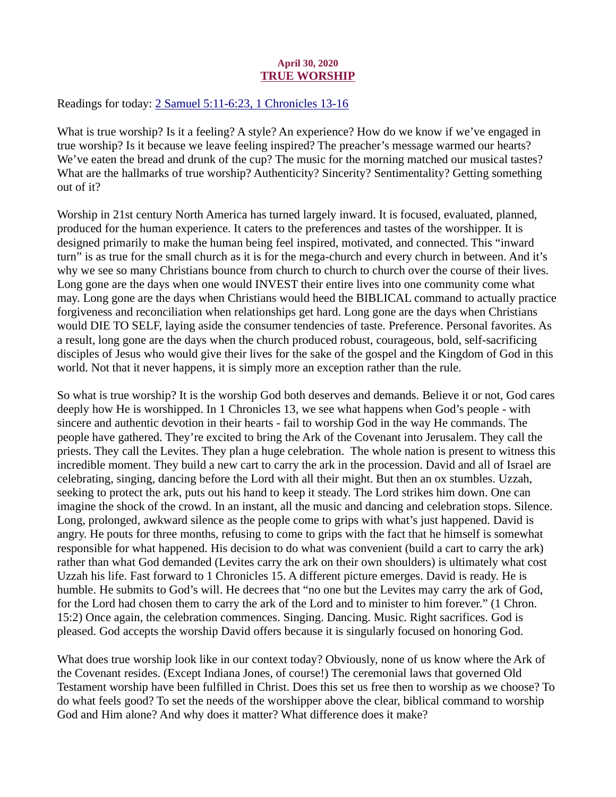## April 30, 2020 TRUE WORSHIP

<span id="page-44-0"></span>[Readings for today: 2 Samuel 5:11-6:23, 1 Chronicles 13-16](https://www.biblegateway.com/passage/?search=2+Samuel+5%3A11-6%3A23%2C+1+Chronicles+13-16&version=ESV)

What is true worship? Is it a feeling? A style? An experience? How do we know if we've engaged in true worship? Is it because we leave feeling inspired? The preacher's message warmed our hearts? We've eaten the bread and drunk of the cup? The music for the morning matched our musical tastes? What are the hallmarks of true worship? Authenticity? Sincerity? Sentimentality? Getting something out of it?

Worship in 21st century North America has turned largely inward. It is focused, evaluated, planned, produced for the human experience. It caters to the preferences and tastes of the worshipper. It is designed primarily to make the human being feel inspired, motivated, and connected. This "inward turn" is as true for the small church as it is for the mega-church and every church in between. And it's why we see so many Christians bounce from church to church to church over the course of their lives. Long gone are the days when one would INVEST their entire lives into one community come what may. Long gone are the days when Christians would heed the BIBLICAL command to actually practice forgiveness and reconciliation when relationships get hard. Long gone are the days when Christians would DIE TO SELF, laying aside the consumer tendencies of taste. Preference. Personal favorites. As a result, long gone are the days when the church produced robust, courageous, bold, self-sacrificing disciples of Jesus who would give their lives for the sake of the gospel and the Kingdom of God in this world. Not that it never happens, it is simply more an exception rather than the rule.

So what is true worship? It is the worship God both deserves and demands. Believe it or not, God cares deeply how He is worshipped. In 1 Chronicles 13, we see what happens when God's people - with sincere and authentic devotion in their hearts - fail to worship God in the way He commands. The people have gathered. They're excited to bring the Ark of the Covenant into Jerusalem. They call the priests. They call the Levites. They plan a huge celebration. The whole nation is present to witness this incredible moment. They build a new cart to carry the ark in the procession. David and all of Israel are celebrating, singing, dancing before the Lord with all their might. But then an ox stumbles. Uzzah, seeking to protect the ark, puts out his hand to keep it steady. The Lord strikes him down. One can imagine the shock of the crowd. In an instant, all the music and dancing and celebration stops. Silence. Long, prolonged, awkward silence as the people come to grips with what's just happened. David is angry. He pouts for three months, refusing to come to grips with the fact that he himself is somewhat responsible for what happened. His decision to do what was convenient (build a cart to carry the ark) rather than what God demanded (Levites carry the ark on their own shoulders) is ultimately what cost Uzzah his life. Fast forward to 1 Chronicles 15. A different picture emerges. David is ready. He is humble. He submits to God's will. He decrees that "no one but the Levites may carry the ark of God, for the Lord had chosen them to carry the ark of the Lord and to minister to him forever." (1 Chron. 15:2) Once again, the celebration commences. Singing. Dancing. Music. Right sacrifices. God is pleased. God accepts the worship David offers because it is singularly focused on honoring God.

What does true worship look like in our context today? Obviously, none of us know where the Ark of the Covenant resides. (Except Indiana Jones, of course!) The ceremonial laws that governed Old Testament worship have been fulfilled in Christ. Does this set us free then to worship as we choose? To do what feels good? To set the needs of the worshipper above the clear, biblical command to worship God and Him alone? And why does it matter? What difference does it make?